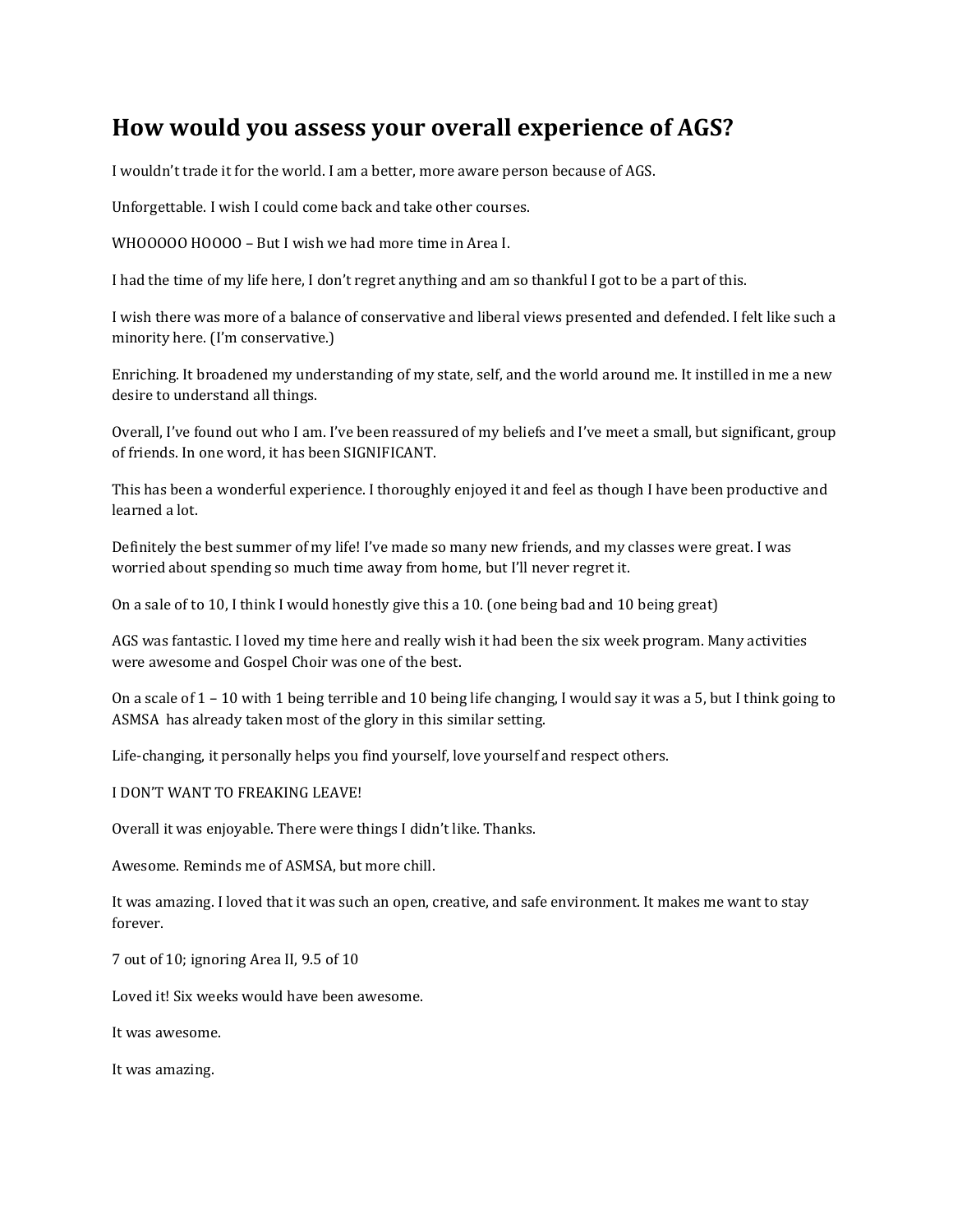# **How would you assess your overall experience of AGS?**

I wouldn't trade it for the world. I am a better, more aware person because of AGS.

Unforgettable. I wish I could come back and take other courses.

WHOOOOO HOOOO – But I wish we had more time in Area I.

I had the time of my life here, I don't regret anything and am so thankful I got to be a part of this.

I wish there was more of a balance of conservative and liberal views presented and defended. I felt like such a minority here. (I'm conservative.)

Enriching. It broadened my understanding of my state, self, and the world around me. It instilled in me a new desire to understand all things.

Overall, I've found out who I am. I've been reassured of my beliefs and I've meet a small, but significant, group of friends. In one word, it has been SIGNIFICANT.

This has been a wonderful experience. I thoroughly enjoyed it and feel as though I have been productive and learned a lot.

Definitely the best summer of my life! I've made so many new friends, and my classes were great. I was worried about spending so much time away from home, but I'll never regret it.

On a sale of to 10, I think I would honestly give this a 10. (one being bad and 10 being great)

AGS was fantastic. I loved my time here and really wish it had been the six week program. Many activities were awesome and Gospel Choir was one of the best.

On a scale of 1 – 10 with 1 being terrible and 10 being life changing, I would say it was a 5, but I think going to ASMSA has already taken most of the glory in this similar setting.

Life-changing, it personally helps you find yourself, love yourself and respect others.

I DON'T WANT TO FREAKING LEAVE!

Overall it was enjoyable. There were things I didn't like. Thanks.

Awesome. Reminds me of ASMSA, but more chill.

It was amazing. I loved that it was such an open, creative, and safe environment. It makes me want to stay forever.

7 out of 10; ignoring Area II, 9.5 of 10

Loved it! Six weeks would have been awesome.

It was awesome.

It was amazing.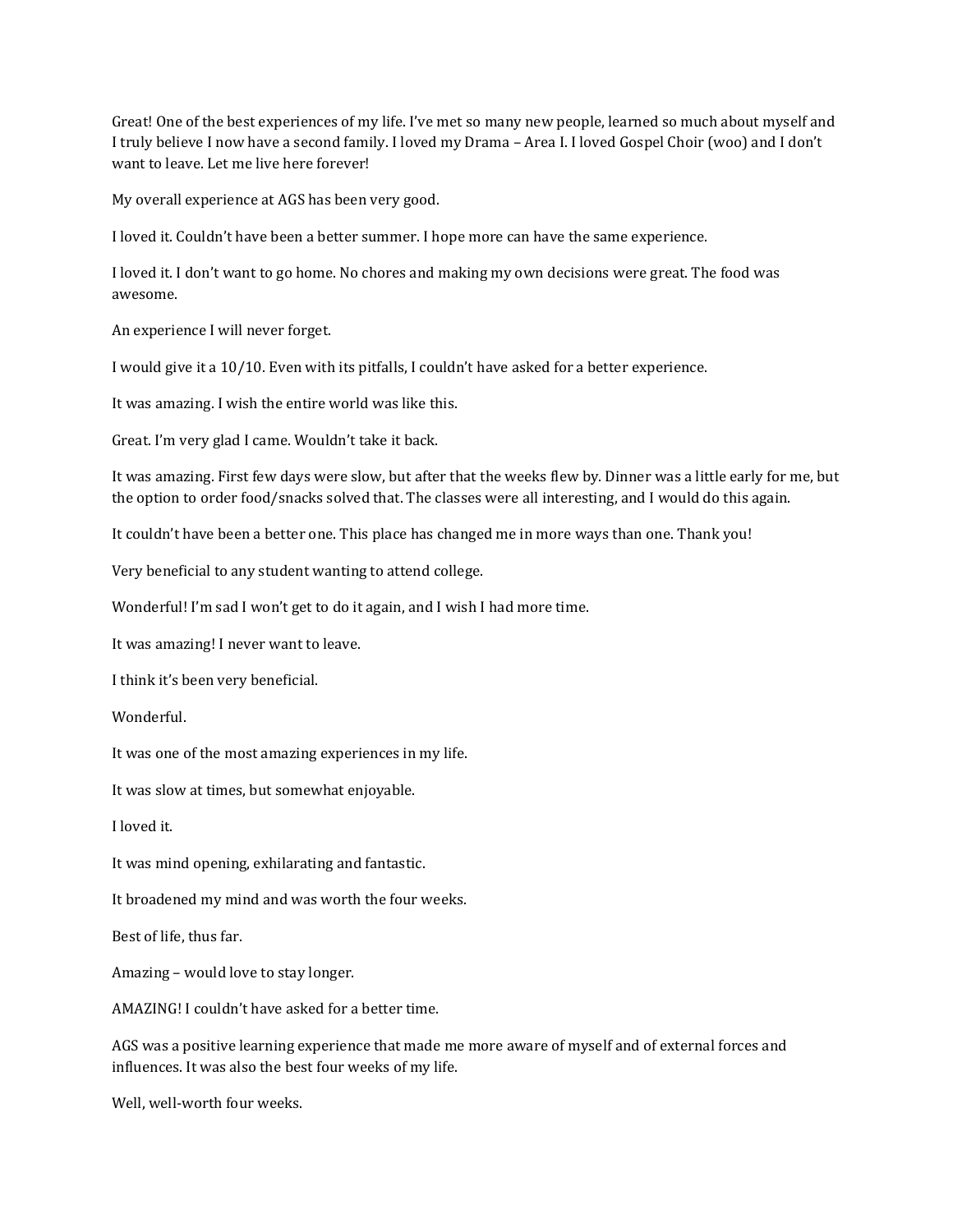Great! One of the best experiences of my life. I've met so many new people, learned so much about myself and I truly believe I now have a second family. I loved my Drama – Area I. I loved Gospel Choir (woo) and I don't want to leave. Let me live here forever!

My overall experience at AGS has been very good.

I loved it. Couldn't have been a better summer. I hope more can have the same experience.

I loved it. I don't want to go home. No chores and making my own decisions were great. The food was awesome.

An experience I will never forget.

I would give it a 10/10. Even with its pitfalls, I couldn't have asked for a better experience.

It was amazing. I wish the entire world was like this.

Great. I'm very glad I came. Wouldn't take it back.

It was amazing. First few days were slow, but after that the weeks flew by. Dinner was a little early for me, but the option to order food/snacks solved that. The classes were all interesting, and I would do this again.

It couldn't have been a better one. This place has changed me in more ways than one. Thank you!

Very beneficial to any student wanting to attend college.

Wonderful! I'm sad I won't get to do it again, and I wish I had more time.

It was amazing! I never want to leave.

I think it's been very beneficial.

Wonderful.

It was one of the most amazing experiences in my life.

It was slow at times, but somewhat enjoyable.

I loved it.

It was mind opening, exhilarating and fantastic.

It broadened my mind and was worth the four weeks.

Best of life, thus far.

Amazing – would love to stay longer.

AMAZING! I couldn't have asked for a better time.

AGS was a positive learning experience that made me more aware of myself and of external forces and influences. It was also the best four weeks of my life.

Well, well-worth four weeks.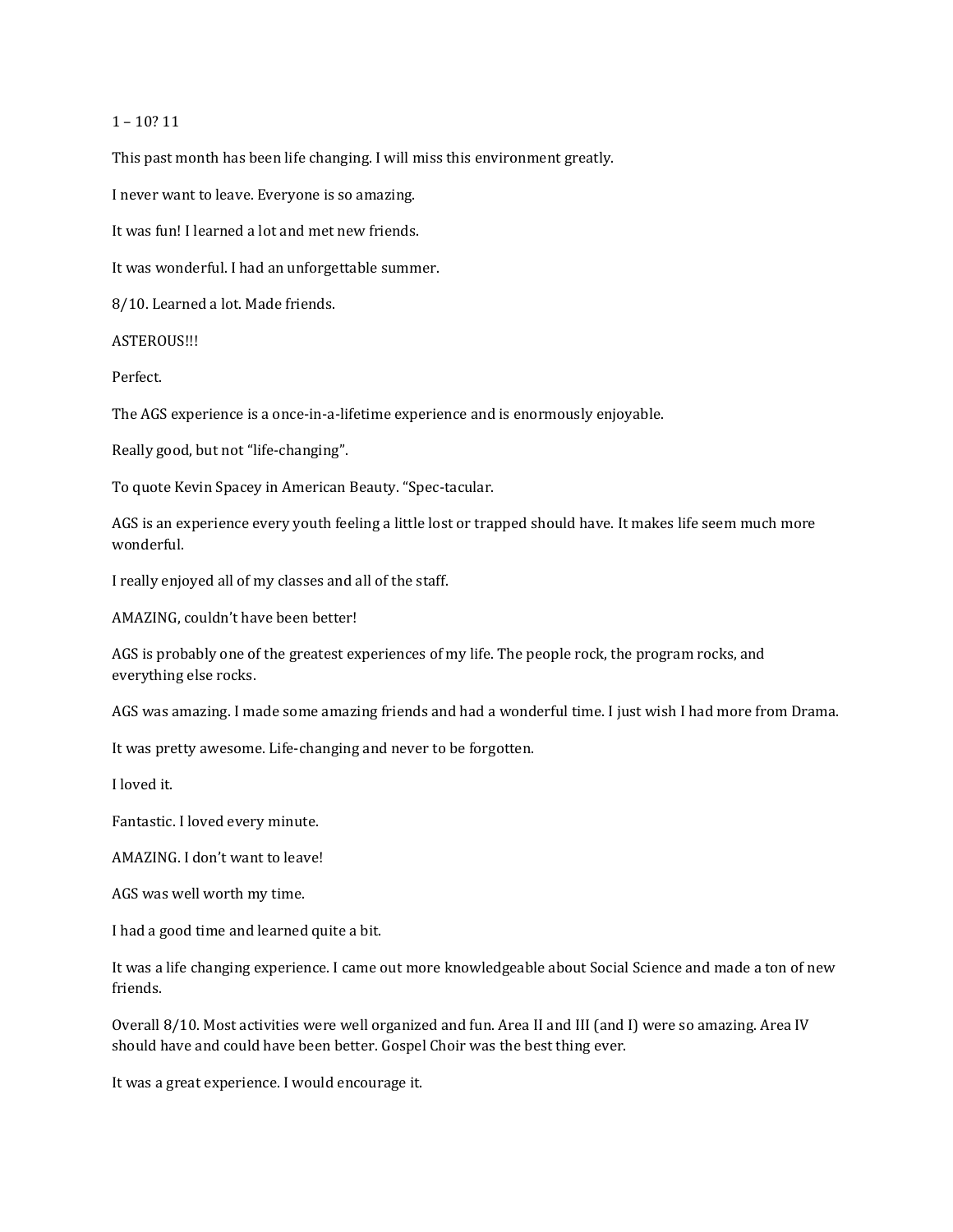## 1 – 10? 11

This past month has been life changing. I will miss this environment greatly.

I never want to leave. Everyone is so amazing.

It was fun! I learned a lot and met new friends.

It was wonderful. I had an unforgettable summer.

8/10. Learned a lot. Made friends.

ASTEROUS!!!

Perfect.

The AGS experience is a once-in-a-lifetime experience and is enormously enjoyable.

Really good, but not "life-changing".

To quote Kevin Spacey in American Beauty. "Spec-tacular.

AGS is an experience every youth feeling a little lost or trapped should have. It makes life seem much more wonderful.

I really enjoyed all of my classes and all of the staff.

AMAZING, couldn't have been better!

AGS is probably one of the greatest experiences of my life. The people rock, the program rocks, and everything else rocks.

AGS was amazing. I made some amazing friends and had a wonderful time. I just wish I had more from Drama.

It was pretty awesome. Life-changing and never to be forgotten.

I loved it.

Fantastic. I loved every minute.

AMAZING. I don't want to leave!

AGS was well worth my time.

I had a good time and learned quite a bit.

It was a life changing experience. I came out more knowledgeable about Social Science and made a ton of new friends.

Overall 8/10. Most activities were well organized and fun. Area II and III (and I) were so amazing. Area IV should have and could have been better. Gospel Choir was the best thing ever.

It was a great experience. I would encourage it.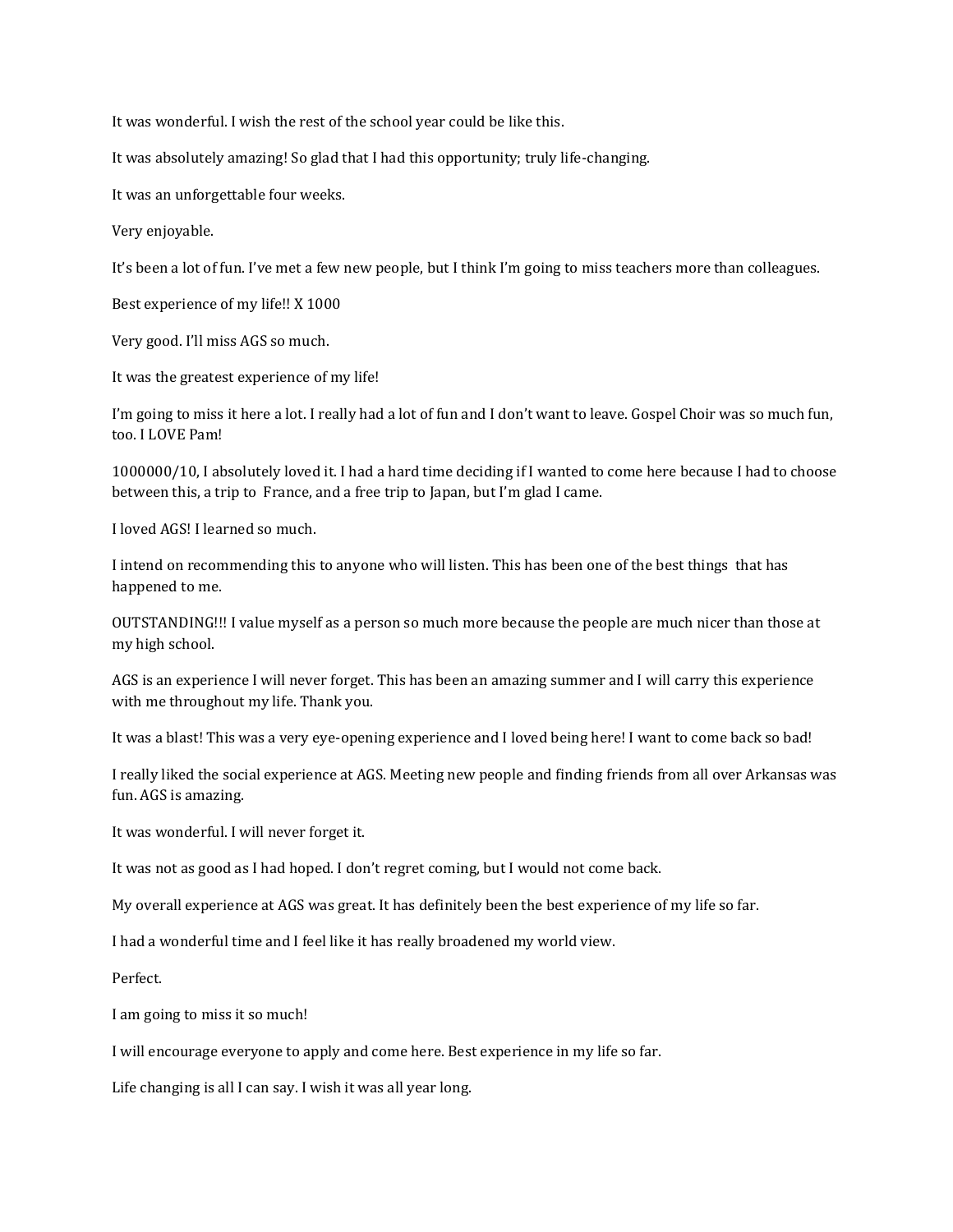It was wonderful. I wish the rest of the school year could be like this.

It was absolutely amazing! So glad that I had this opportunity; truly life-changing.

It was an unforgettable four weeks.

Very enjoyable.

It's been a lot of fun. I've met a few new people, but I think I'm going to miss teachers more than colleagues.

Best experience of my life!! X 1000

Very good. I'll miss AGS so much.

It was the greatest experience of my life!

I'm going to miss it here a lot. I really had a lot of fun and I don't want to leave. Gospel Choir was so much fun, too. I LOVE Pam!

1000000/10, I absolutely loved it. I had a hard time deciding if I wanted to come here because I had to choose between this, a trip to France, and a free trip to Japan, but I'm glad I came.

I loved AGS! I learned so much.

I intend on recommending this to anyone who will listen. This has been one of the best things that has happened to me.

OUTSTANDING!!! I value myself as a person so much more because the people are much nicer than those at my high school.

AGS is an experience I will never forget. This has been an amazing summer and I will carry this experience with me throughout my life. Thank you.

It was a blast! This was a very eye-opening experience and I loved being here! I want to come back so bad!

I really liked the social experience at AGS. Meeting new people and finding friends from all over Arkansas was fun. AGS is amazing.

It was wonderful. I will never forget it.

It was not as good as I had hoped. I don't regret coming, but I would not come back.

My overall experience at AGS was great. It has definitely been the best experience of my life so far.

I had a wonderful time and I feel like it has really broadened my world view.

Perfect.

I am going to miss it so much!

I will encourage everyone to apply and come here. Best experience in my life so far.

Life changing is all I can say. I wish it was all year long.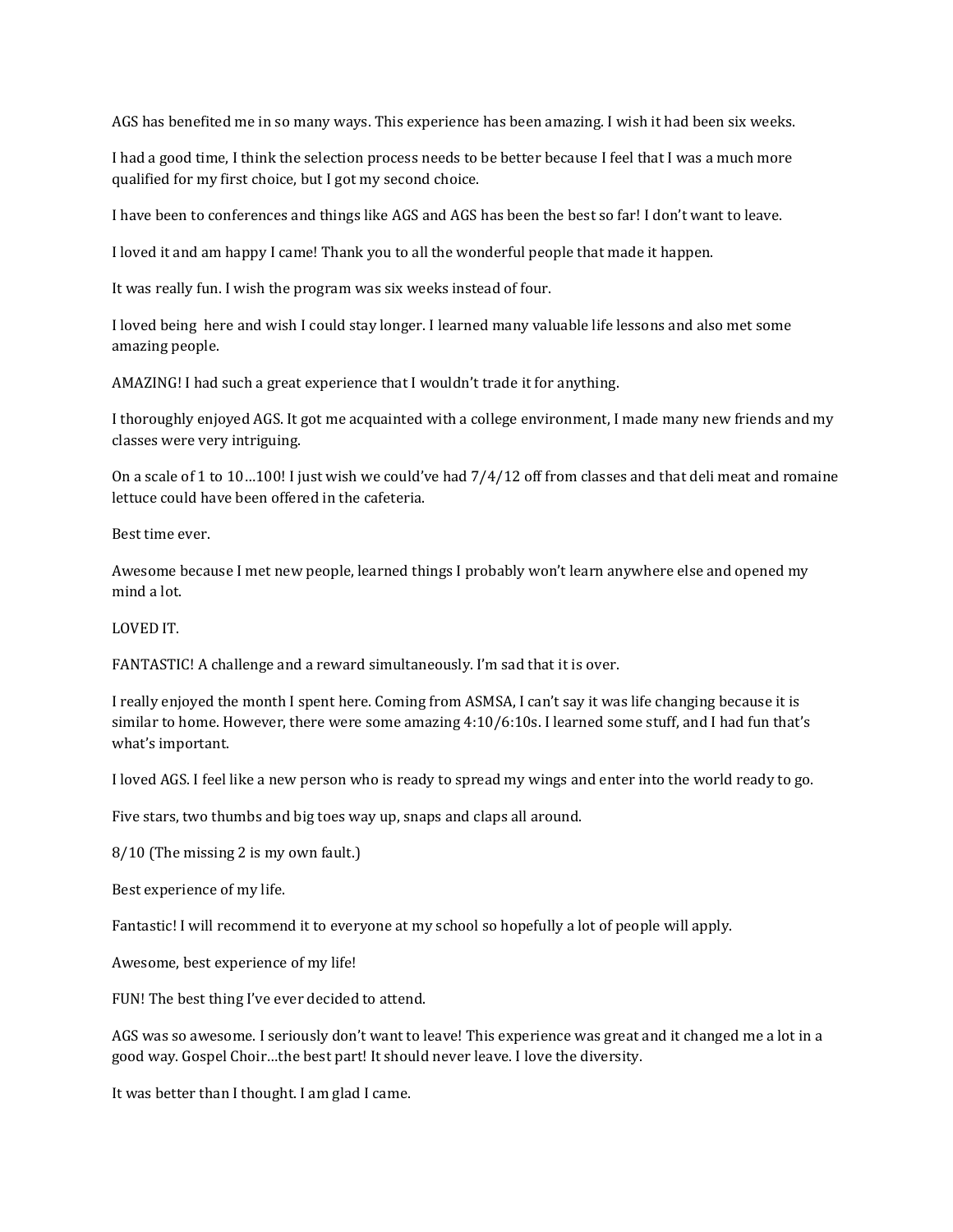AGS has benefited me in so many ways. This experience has been amazing. I wish it had been six weeks.

I had a good time, I think the selection process needs to be better because I feel that I was a much more qualified for my first choice, but I got my second choice.

I have been to conferences and things like AGS and AGS has been the best so far! I don't want to leave.

I loved it and am happy I came! Thank you to all the wonderful people that made it happen.

It was really fun. I wish the program was six weeks instead of four.

I loved being here and wish I could stay longer. I learned many valuable life lessons and also met some amazing people.

AMAZING! I had such a great experience that I wouldn't trade it for anything.

I thoroughly enjoyed AGS. It got me acquainted with a college environment, I made many new friends and my classes were very intriguing.

On a scale of 1 to 10…100! I just wish we could've had 7/4/12 off from classes and that deli meat and romaine lettuce could have been offered in the cafeteria.

Best time ever.

Awesome because I met new people, learned things I probably won't learn anywhere else and opened my mind a lot.

LOVED IT.

FANTASTIC! A challenge and a reward simultaneously. I'm sad that it is over.

I really enjoyed the month I spent here. Coming from ASMSA, I can't say it was life changing because it is similar to home. However, there were some amazing 4:10/6:10s. I learned some stuff, and I had fun that's what's important.

I loved AGS. I feel like a new person who is ready to spread my wings and enter into the world ready to go.

Five stars, two thumbs and big toes way up, snaps and claps all around.

8/10 (The missing 2 is my own fault.)

Best experience of my life.

Fantastic! I will recommend it to everyone at my school so hopefully a lot of people will apply.

Awesome, best experience of my life!

FUN! The best thing I've ever decided to attend.

AGS was so awesome. I seriously don't want to leave! This experience was great and it changed me a lot in a good way. Gospel Choir…the best part! It should never leave. I love the diversity.

It was better than I thought. I am glad I came.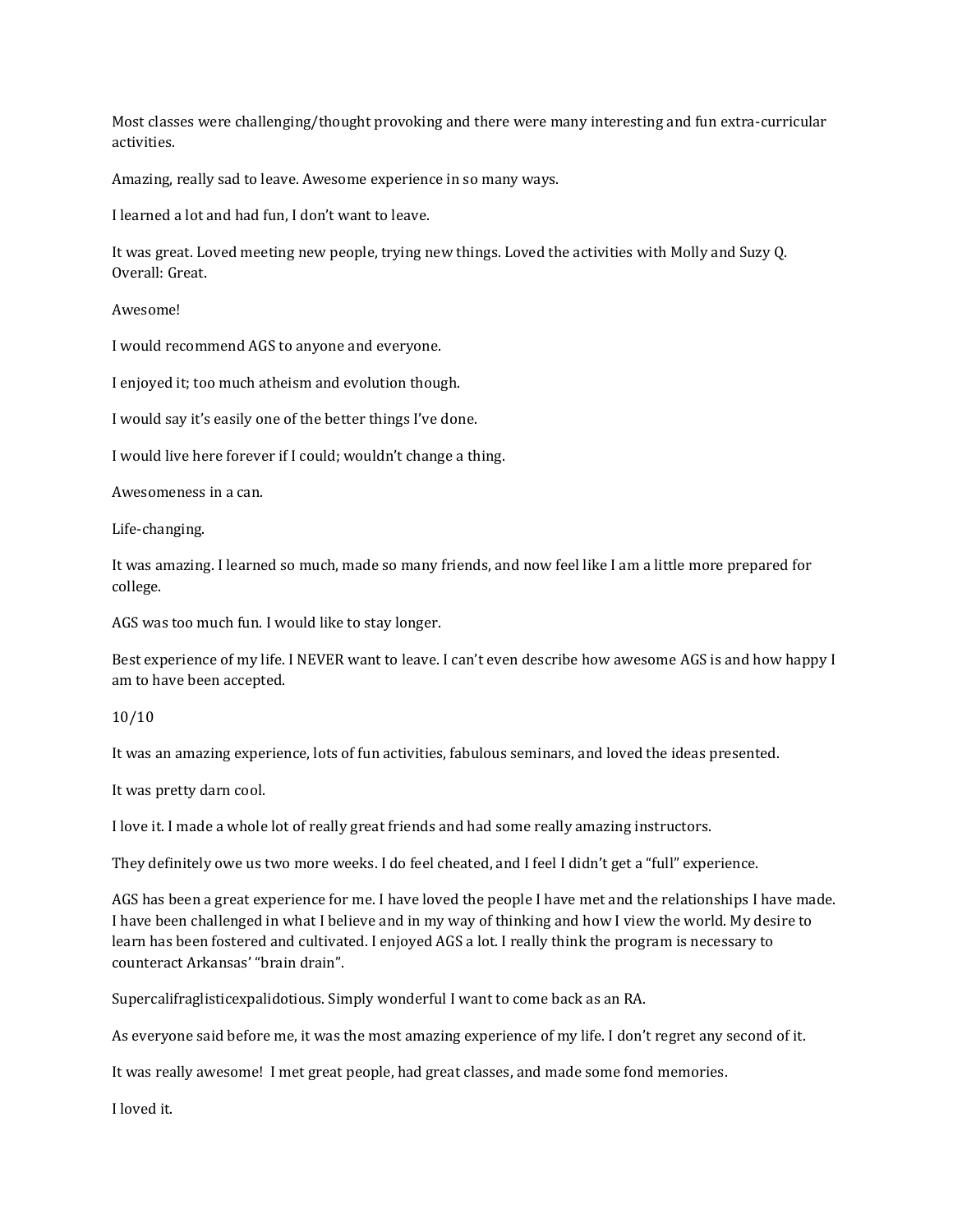Most classes were challenging/thought provoking and there were many interesting and fun extra-curricular activities.

Amazing, really sad to leave. Awesome experience in so many ways.

I learned a lot and had fun, I don't want to leave.

It was great. Loved meeting new people, trying new things. Loved the activities with Molly and Suzy Q. Overall: Great.

Awesome!

I would recommend AGS to anyone and everyone.

I enjoyed it; too much atheism and evolution though.

I would say it's easily one of the better things I've done.

I would live here forever if I could; wouldn't change a thing.

Awesomeness in a can.

Life-changing.

It was amazing. I learned so much, made so many friends, and now feel like I am a little more prepared for college.

AGS was too much fun. I would like to stay longer.

Best experience of my life. I NEVER want to leave. I can't even describe how awesome AGS is and how happy I am to have been accepted.

10/10

It was an amazing experience, lots of fun activities, fabulous seminars, and loved the ideas presented.

It was pretty darn cool.

I love it. I made a whole lot of really great friends and had some really amazing instructors.

They definitely owe us two more weeks. I do feel cheated, and I feel I didn't get a "full" experience.

AGS has been a great experience for me. I have loved the people I have met and the relationships I have made. I have been challenged in what I believe and in my way of thinking and how I view the world. My desire to learn has been fostered and cultivated. I enjoyed AGS a lot. I really think the program is necessary to counteract Arkansas' "brain drain".

Supercalifraglisticexpalidotious. Simply wonderful I want to come back as an RA.

As everyone said before me, it was the most amazing experience of my life. I don't regret any second of it.

It was really awesome! I met great people, had great classes, and made some fond memories.

I loved it.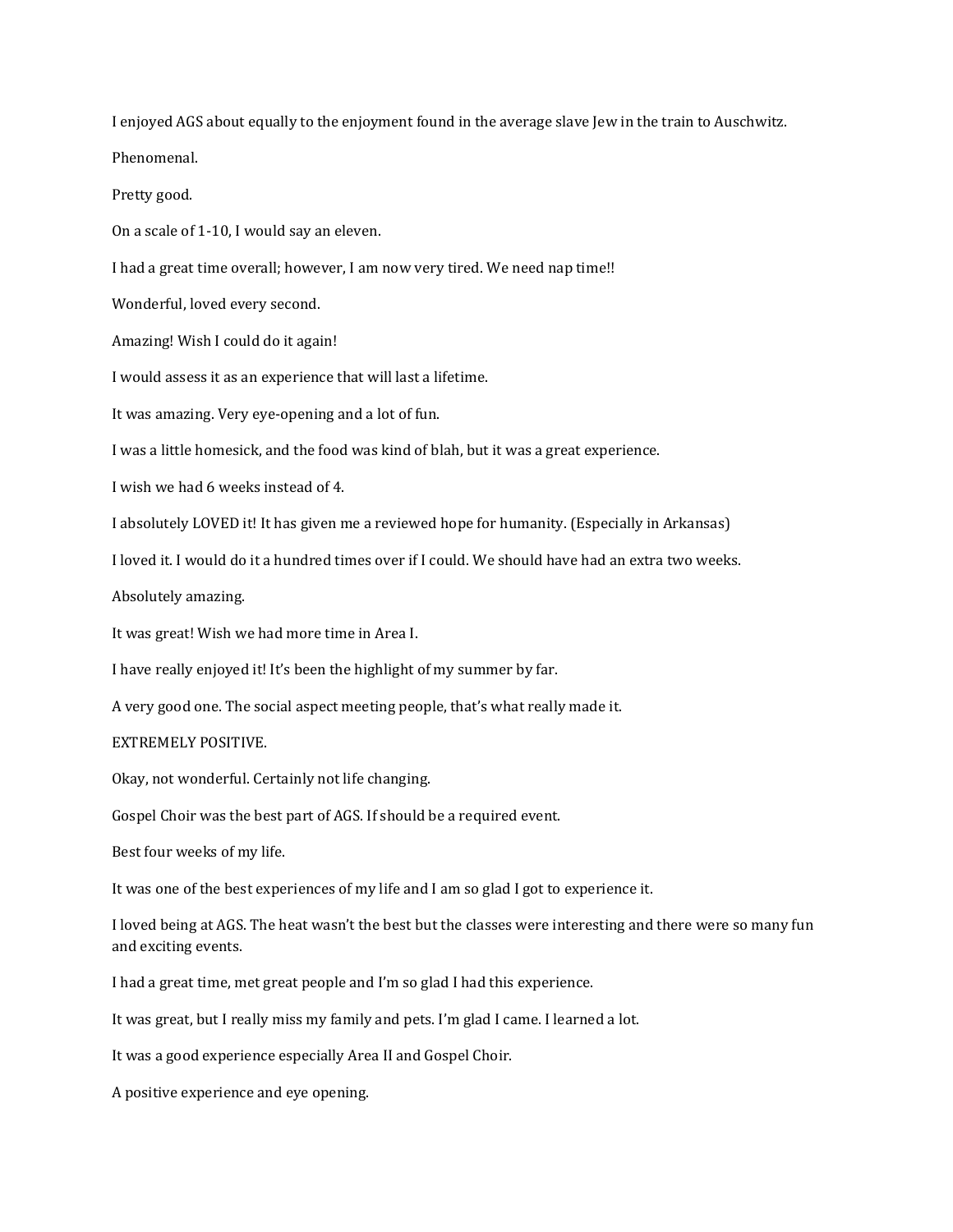I enjoyed AGS about equally to the enjoyment found in the average slave Jew in the train to Auschwitz.

Phenomenal.

Pretty good.

On a scale of 1-10, I would say an eleven.

I had a great time overall; however, I am now very tired. We need nap time!!

Wonderful, loved every second.

Amazing! Wish I could do it again!

I would assess it as an experience that will last a lifetime.

It was amazing. Very eye-opening and a lot of fun.

I was a little homesick, and the food was kind of blah, but it was a great experience.

I wish we had 6 weeks instead of 4.

I absolutely LOVED it! It has given me a reviewed hope for humanity. (Especially in Arkansas)

I loved it. I would do it a hundred times over if I could. We should have had an extra two weeks.

Absolutely amazing.

It was great! Wish we had more time in Area I.

I have really enjoyed it! It's been the highlight of my summer by far.

A very good one. The social aspect meeting people, that's what really made it.

EXTREMELY POSITIVE.

Okay, not wonderful. Certainly not life changing.

Gospel Choir was the best part of AGS. If should be a required event.

Best four weeks of my life.

It was one of the best experiences of my life and I am so glad I got to experience it.

I loved being at AGS. The heat wasn't the best but the classes were interesting and there were so many fun and exciting events.

I had a great time, met great people and I'm so glad I had this experience.

It was great, but I really miss my family and pets. I'm glad I came. I learned a lot.

It was a good experience especially Area II and Gospel Choir.

A positive experience and eye opening.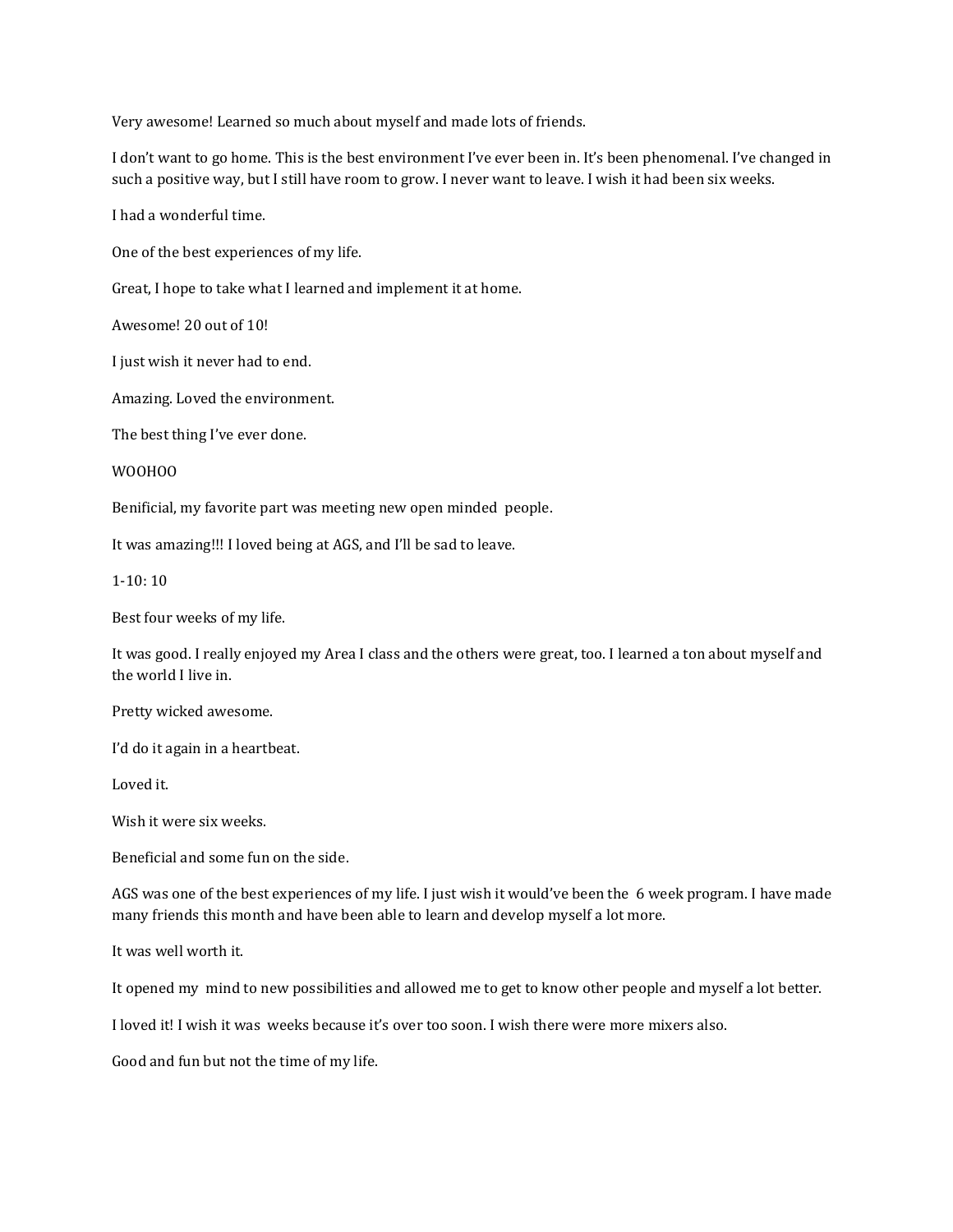Very awesome! Learned so much about myself and made lots of friends.

I don't want to go home. This is the best environment I've ever been in. It's been phenomenal. I've changed in such a positive way, but I still have room to grow. I never want to leave. I wish it had been six weeks.

I had a wonderful time.

One of the best experiences of my life.

Great, I hope to take what I learned and implement it at home.

Awesome! 20 out of 10!

I just wish it never had to end.

Amazing. Loved the environment.

The best thing I've ever done.

WOOHOO

Benificial, my favorite part was meeting new open minded people.

It was amazing!!! I loved being at AGS, and I'll be sad to leave.

 $1-10:10$ 

Best four weeks of my life.

It was good. I really enjoyed my Area I class and the others were great, too. I learned a ton about myself and the world I live in.

Pretty wicked awesome.

I'd do it again in a heartbeat.

Loved it.

Wish it were six weeks.

Beneficial and some fun on the side.

AGS was one of the best experiences of my life. I just wish it would've been the 6 week program. I have made many friends this month and have been able to learn and develop myself a lot more.

It was well worth it.

It opened my mind to new possibilities and allowed me to get to know other people and myself a lot better.

I loved it! I wish it was weeks because it's over too soon. I wish there were more mixers also.

Good and fun but not the time of my life.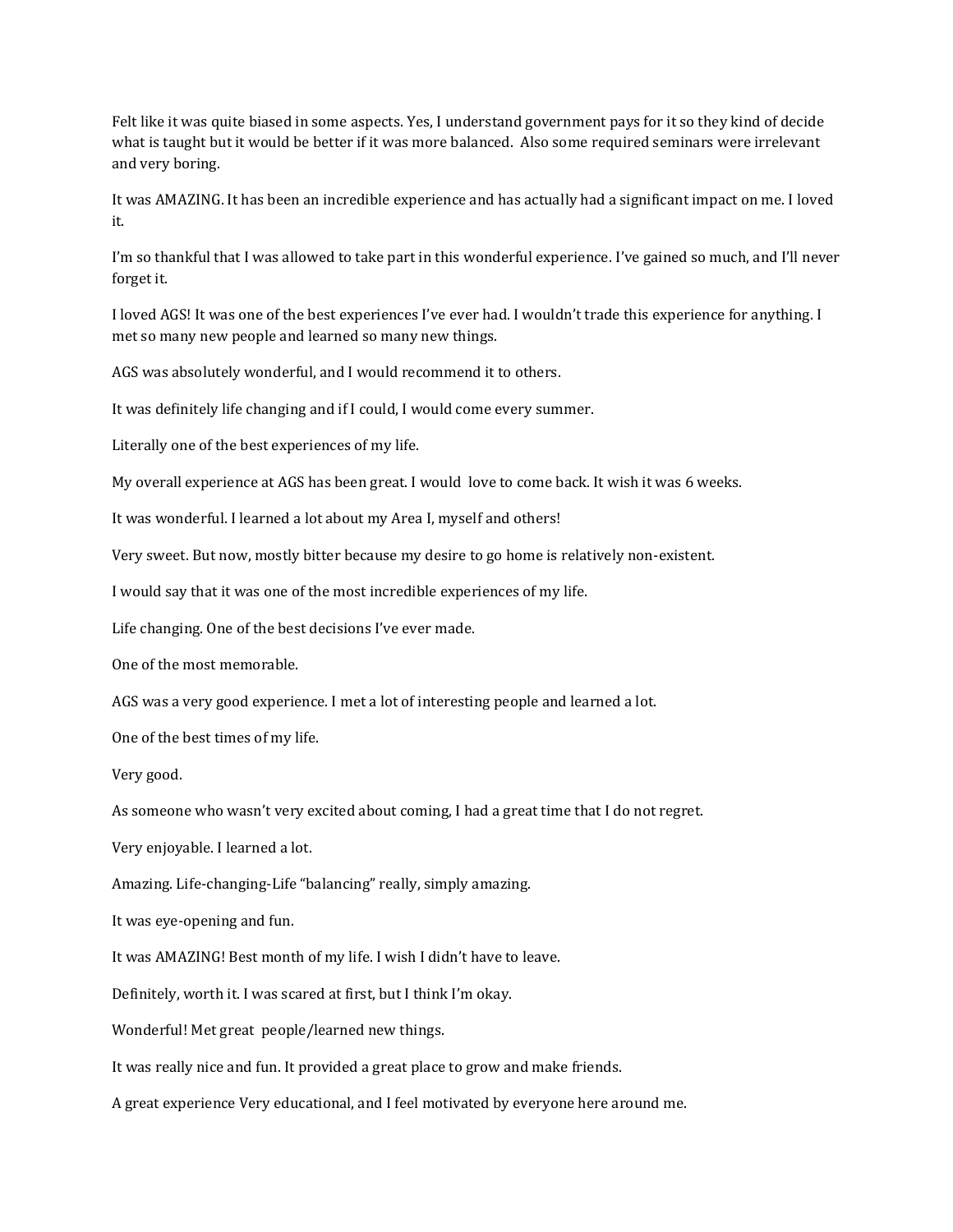Felt like it was quite biased in some aspects. Yes, I understand government pays for it so they kind of decide what is taught but it would be better if it was more balanced. Also some required seminars were irrelevant and very boring.

It was AMAZING. It has been an incredible experience and has actually had a significant impact on me. I loved it.

I'm so thankful that I was allowed to take part in this wonderful experience. I've gained so much, and I'll never forget it.

I loved AGS! It was one of the best experiences I've ever had. I wouldn't trade this experience for anything. I met so many new people and learned so many new things.

AGS was absolutely wonderful, and I would recommend it to others.

It was definitely life changing and if I could, I would come every summer.

Literally one of the best experiences of my life.

My overall experience at AGS has been great. I would love to come back. It wish it was 6 weeks.

It was wonderful. I learned a lot about my Area I, myself and others!

Very sweet. But now, mostly bitter because my desire to go home is relatively non-existent.

I would say that it was one of the most incredible experiences of my life.

Life changing. One of the best decisions I've ever made.

One of the most memorable.

AGS was a very good experience. I met a lot of interesting people and learned a lot.

One of the best times of my life.

Very good.

As someone who wasn't very excited about coming, I had a great time that I do not regret.

Very enjoyable. I learned a lot.

Amazing. Life-changing-Life "balancing" really, simply amazing.

It was eye-opening and fun.

It was AMAZING! Best month of my life. I wish I didn't have to leave.

Definitely, worth it. I was scared at first, but I think I'm okay.

Wonderful! Met great people/learned new things.

It was really nice and fun. It provided a great place to grow and make friends.

A great experience Very educational, and I feel motivated by everyone here around me.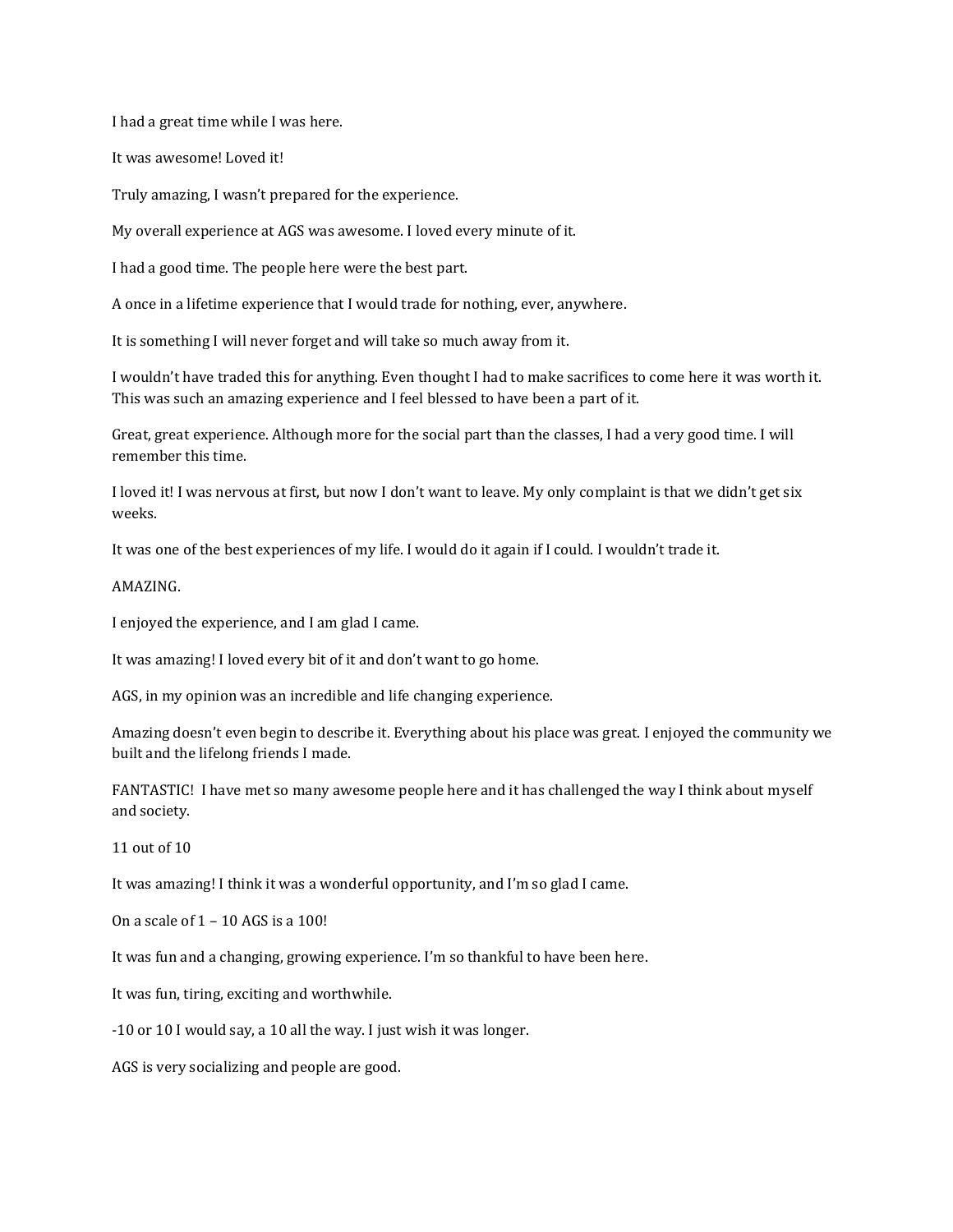I had a great time while I was here.

It was awesome! Loved it!

Truly amazing, I wasn't prepared for the experience.

My overall experience at AGS was awesome. I loved every minute of it.

I had a good time. The people here were the best part.

A once in a lifetime experience that I would trade for nothing, ever, anywhere.

It is something I will never forget and will take so much away from it.

I wouldn't have traded this for anything. Even thought I had to make sacrifices to come here it was worth it. This was such an amazing experience and I feel blessed to have been a part of it.

Great, great experience. Although more for the social part than the classes, I had a very good time. I will remember this time.

I loved it! I was nervous at first, but now I don't want to leave. My only complaint is that we didn't get six weeks.

It was one of the best experiences of my life. I would do it again if I could. I wouldn't trade it.

#### AMAZING.

I enjoyed the experience, and I am glad I came.

It was amazing! I loved every bit of it and don't want to go home.

AGS, in my opinion was an incredible and life changing experience.

Amazing doesn't even begin to describe it. Everything about his place was great. I enjoyed the community we built and the lifelong friends I made.

FANTASTIC! I have met so many awesome people here and it has challenged the way I think about myself and society.

11 out of 10

It was amazing! I think it was a wonderful opportunity, and I'm so glad I came.

On a scale of 1 – 10 AGS is a 100!

It was fun and a changing, growing experience. I'm so thankful to have been here.

It was fun, tiring, exciting and worthwhile.

-10 or 10 I would say, a 10 all the way. I just wish it was longer.

AGS is very socializing and people are good.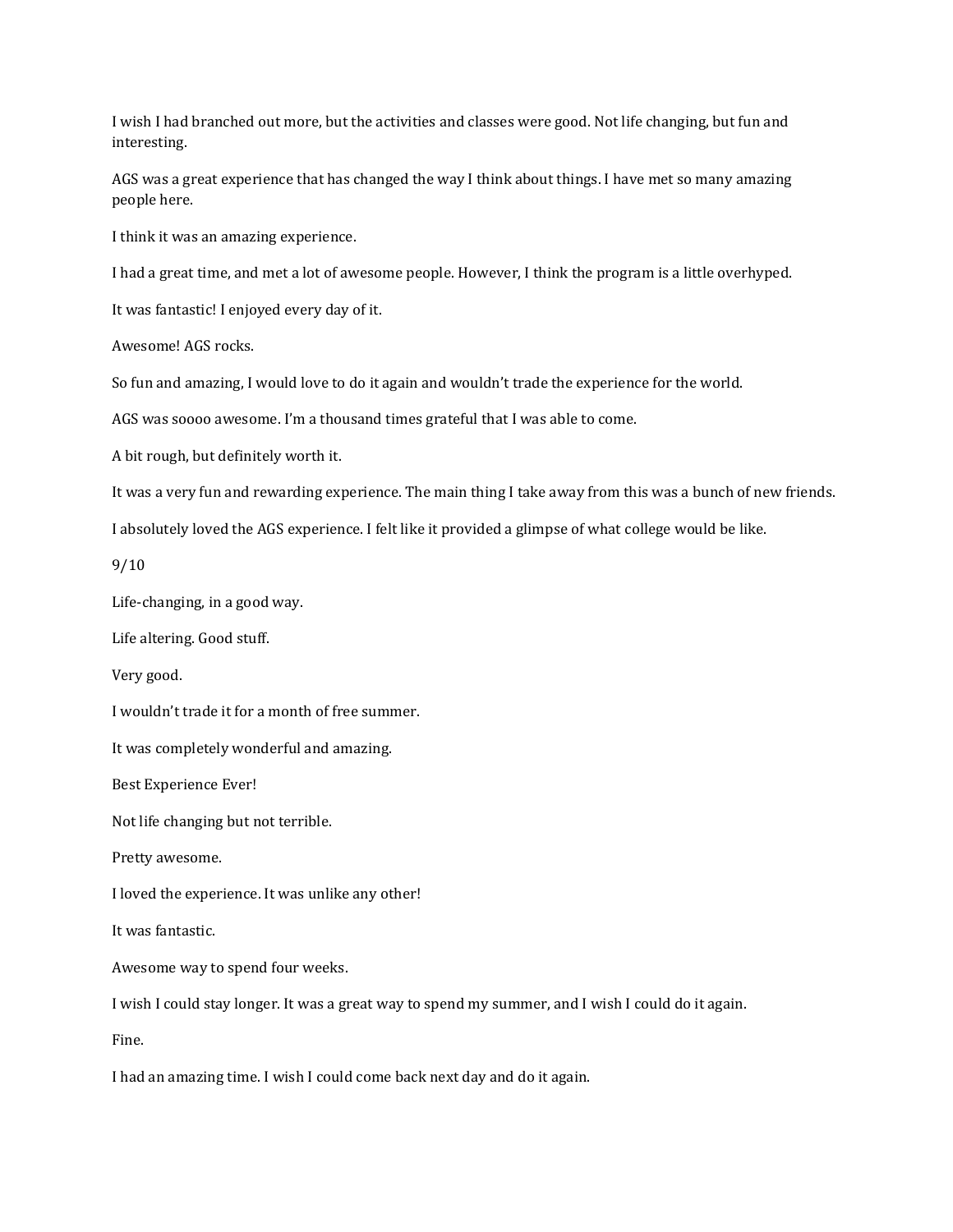I wish I had branched out more, but the activities and classes were good. Not life changing, but fun and interesting.

AGS was a great experience that has changed the way I think about things. I have met so many amazing people here.

I think it was an amazing experience.

I had a great time, and met a lot of awesome people. However, I think the program is a little overhyped.

It was fantastic! I enjoyed every day of it.

Awesome! AGS rocks.

So fun and amazing, I would love to do it again and wouldn't trade the experience for the world.

AGS was soooo awesome. I'm a thousand times grateful that I was able to come.

A bit rough, but definitely worth it.

It was a very fun and rewarding experience. The main thing I take away from this was a bunch of new friends.

I absolutely loved the AGS experience. I felt like it provided a glimpse of what college would be like.

9/10

Life-changing, in a good way.

Life altering. Good stuff.

Very good.

I wouldn't trade it for a month of free summer.

It was completely wonderful and amazing.

Best Experience Ever!

Not life changing but not terrible.

Pretty awesome.

I loved the experience. It was unlike any other!

It was fantastic.

Awesome way to spend four weeks.

I wish I could stay longer. It was a great way to spend my summer, and I wish I could do it again.

Fine.

I had an amazing time. I wish I could come back next day and do it again.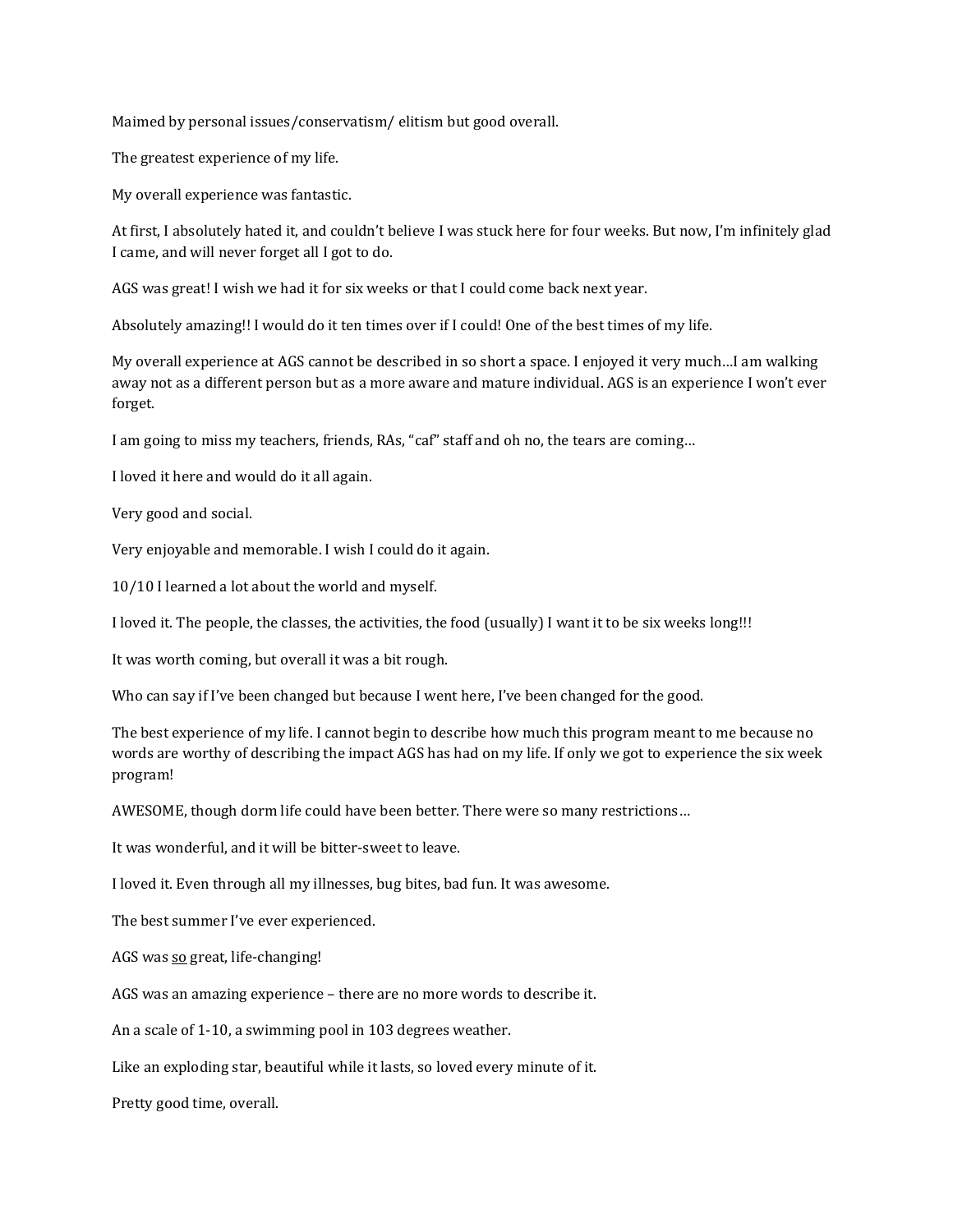Maimed by personal issues/conservatism/ elitism but good overall.

The greatest experience of my life.

My overall experience was fantastic.

At first, I absolutely hated it, and couldn't believe I was stuck here for four weeks. But now, I'm infinitely glad I came, and will never forget all I got to do.

AGS was great! I wish we had it for six weeks or that I could come back next year.

Absolutely amazing!! I would do it ten times over if I could! One of the best times of my life.

My overall experience at AGS cannot be described in so short a space. I enjoyed it very much…I am walking away not as a different person but as a more aware and mature individual. AGS is an experience I won't ever forget.

I am going to miss my teachers, friends, RAs, "caf" staff and oh no, the tears are coming…

I loved it here and would do it all again.

Very good and social.

Very enjoyable and memorable. I wish I could do it again.

10/10 I learned a lot about the world and myself.

I loved it. The people, the classes, the activities, the food (usually) I want it to be six weeks long!!!

It was worth coming, but overall it was a bit rough.

Who can say if I've been changed but because I went here, I've been changed for the good.

The best experience of my life. I cannot begin to describe how much this program meant to me because no words are worthy of describing the impact AGS has had on my life. If only we got to experience the six week program!

AWESOME, though dorm life could have been better. There were so many restrictions…

It was wonderful, and it will be bitter-sweet to leave.

I loved it. Even through all my illnesses, bug bites, bad fun. It was awesome.

The best summer I've ever experienced.

AGS was so great, life-changing!

AGS was an amazing experience – there are no more words to describe it.

An a scale of 1-10, a swimming pool in 103 degrees weather.

Like an exploding star, beautiful while it lasts, so loved every minute of it.

Pretty good time, overall.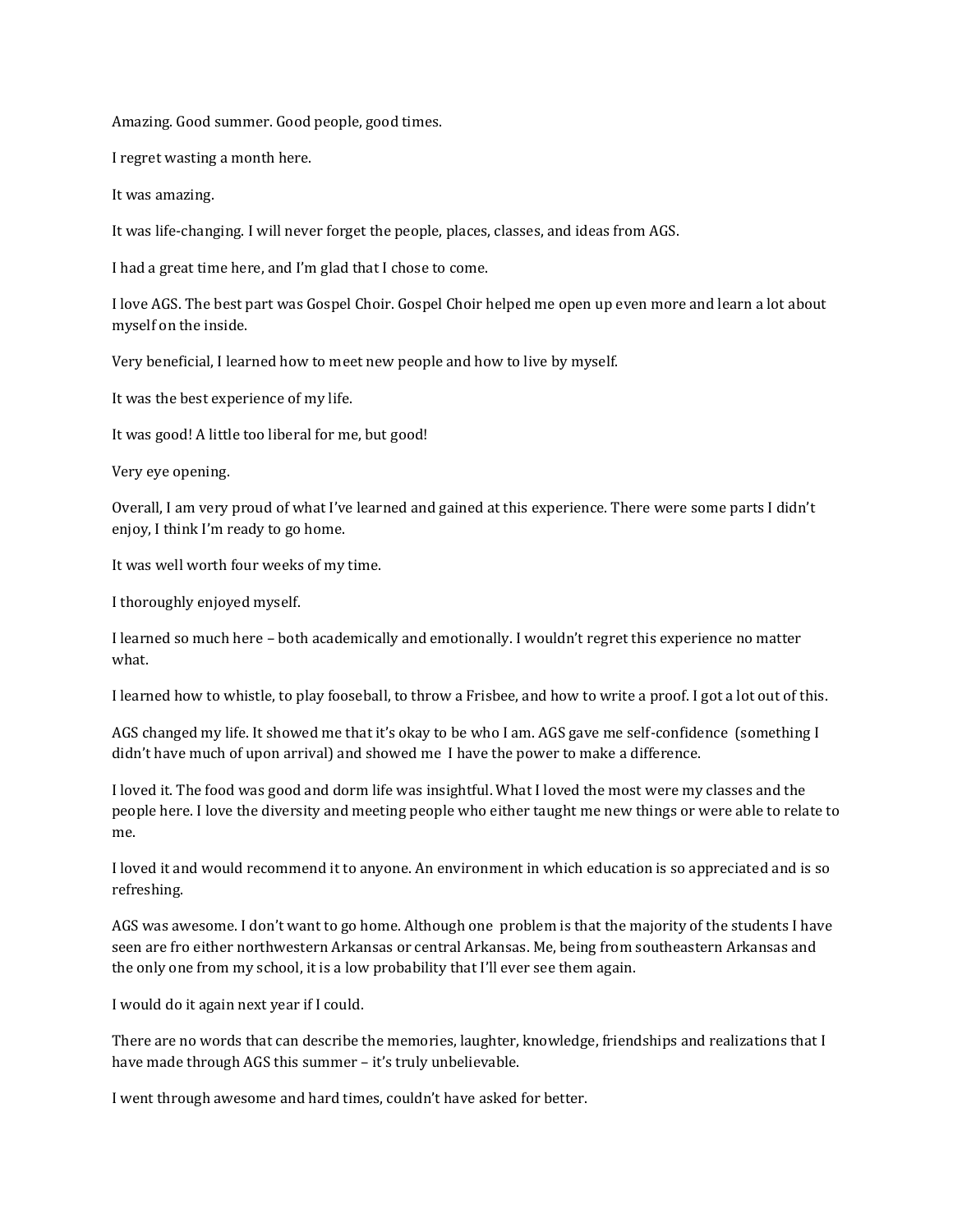Amazing. Good summer. Good people, good times.

I regret wasting a month here.

It was amazing.

It was life-changing. I will never forget the people, places, classes, and ideas from AGS.

I had a great time here, and I'm glad that I chose to come.

I love AGS. The best part was Gospel Choir. Gospel Choir helped me open up even more and learn a lot about myself on the inside.

Very beneficial, I learned how to meet new people and how to live by myself.

It was the best experience of my life.

It was good! A little too liberal for me, but good!

Very eye opening.

Overall, I am very proud of what I've learned and gained at this experience. There were some parts I didn't enjoy, I think I'm ready to go home.

It was well worth four weeks of my time.

I thoroughly enjoyed myself.

I learned so much here – both academically and emotionally. I wouldn't regret this experience no matter what.

I learned how to whistle, to play fooseball, to throw a Frisbee, and how to write a proof. I got a lot out of this.

AGS changed my life. It showed me that it's okay to be who I am. AGS gave me self-confidence (something I didn't have much of upon arrival) and showed me I have the power to make a difference.

I loved it. The food was good and dorm life was insightful. What I loved the most were my classes and the people here. I love the diversity and meeting people who either taught me new things or were able to relate to me.

I loved it and would recommend it to anyone. An environment in which education is so appreciated and is so refreshing.

AGS was awesome. I don't want to go home. Although one problem is that the majority of the students I have seen are fro either northwestern Arkansas or central Arkansas. Me, being from southeastern Arkansas and the only one from my school, it is a low probability that I'll ever see them again.

I would do it again next year if I could.

There are no words that can describe the memories, laughter, knowledge, friendships and realizations that I have made through AGS this summer - it's truly unbelievable.

I went through awesome and hard times, couldn't have asked for better.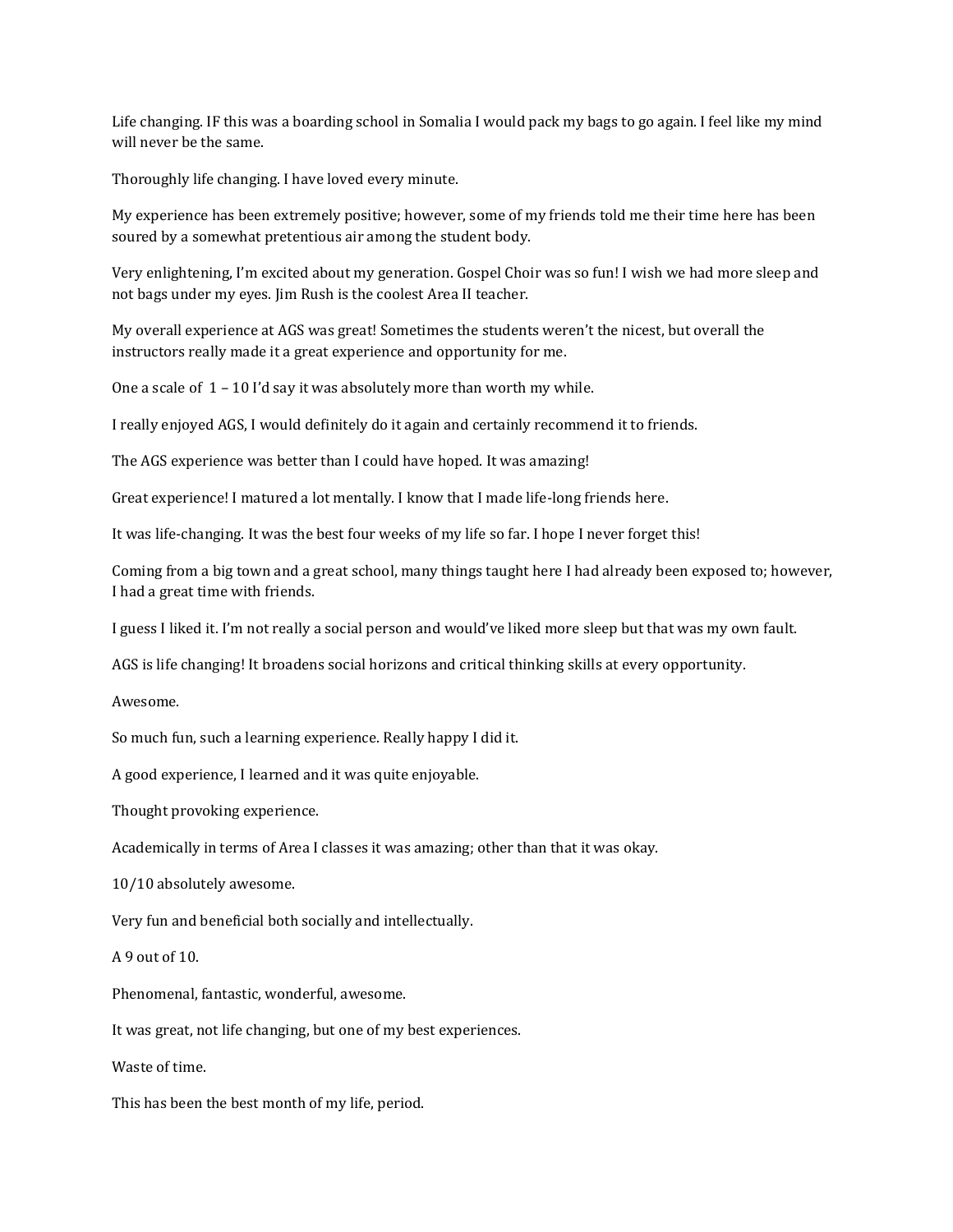Life changing. IF this was a boarding school in Somalia I would pack my bags to go again. I feel like my mind will never be the same.

Thoroughly life changing. I have loved every minute.

My experience has been extremely positive; however, some of my friends told me their time here has been soured by a somewhat pretentious air among the student body.

Very enlightening, I'm excited about my generation. Gospel Choir was so fun! I wish we had more sleep and not bags under my eyes. Jim Rush is the coolest Area II teacher.

My overall experience at AGS was great! Sometimes the students weren't the nicest, but overall the instructors really made it a great experience and opportunity for me.

One a scale of  $1 - 10$  I'd say it was absolutely more than worth my while.

I really enjoyed AGS, I would definitely do it again and certainly recommend it to friends.

The AGS experience was better than I could have hoped. It was amazing!

Great experience! I matured a lot mentally. I know that I made life-long friends here.

It was life-changing. It was the best four weeks of my life so far. I hope I never forget this!

Coming from a big town and a great school, many things taught here I had already been exposed to; however, I had a great time with friends.

I guess I liked it. I'm not really a social person and would've liked more sleep but that was my own fault.

AGS is life changing! It broadens social horizons and critical thinking skills at every opportunity.

Awesome.

So much fun, such a learning experience. Really happy I did it.

A good experience, I learned and it was quite enjoyable.

Thought provoking experience.

Academically in terms of Area I classes it was amazing; other than that it was okay.

10/10 absolutely awesome.

Very fun and beneficial both socially and intellectually.

A 9 out of 10.

Phenomenal, fantastic, wonderful, awesome.

It was great, not life changing, but one of my best experiences.

Waste of time.

This has been the best month of my life, period.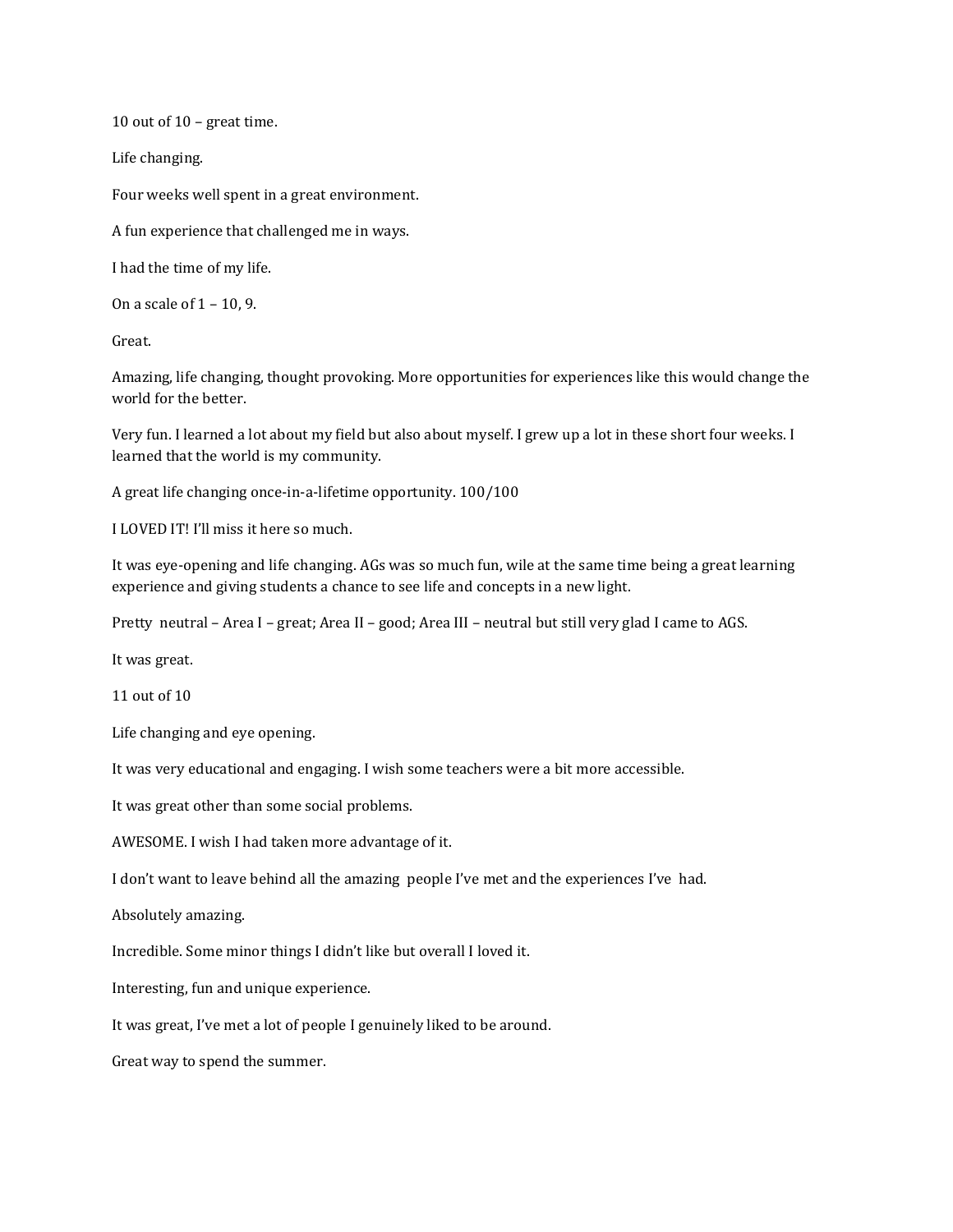10 out of 10 – great time.

Life changing.

Four weeks well spent in a great environment.

A fun experience that challenged me in ways.

I had the time of my life.

On a scale of 1 – 10, 9.

Great.

Amazing, life changing, thought provoking. More opportunities for experiences like this would change the world for the better.

Very fun. I learned a lot about my field but also about myself. I grew up a lot in these short four weeks. I learned that the world is my community.

A great life changing once-in-a-lifetime opportunity. 100/100

I LOVED IT! I'll miss it here so much.

It was eye-opening and life changing. AGs was so much fun, wile at the same time being a great learning experience and giving students a chance to see life and concepts in a new light.

Pretty neutral – Area I – great; Area II – good; Area III – neutral but still very glad I came to AGS.

It was great.

11 out of 10

Life changing and eye opening.

It was very educational and engaging. I wish some teachers were a bit more accessible.

It was great other than some social problems.

AWESOME. I wish I had taken more advantage of it.

I don't want to leave behind all the amazing people I've met and the experiences I've had.

Absolutely amazing.

Incredible. Some minor things I didn't like but overall I loved it.

Interesting, fun and unique experience.

It was great, I've met a lot of people I genuinely liked to be around.

Great way to spend the summer.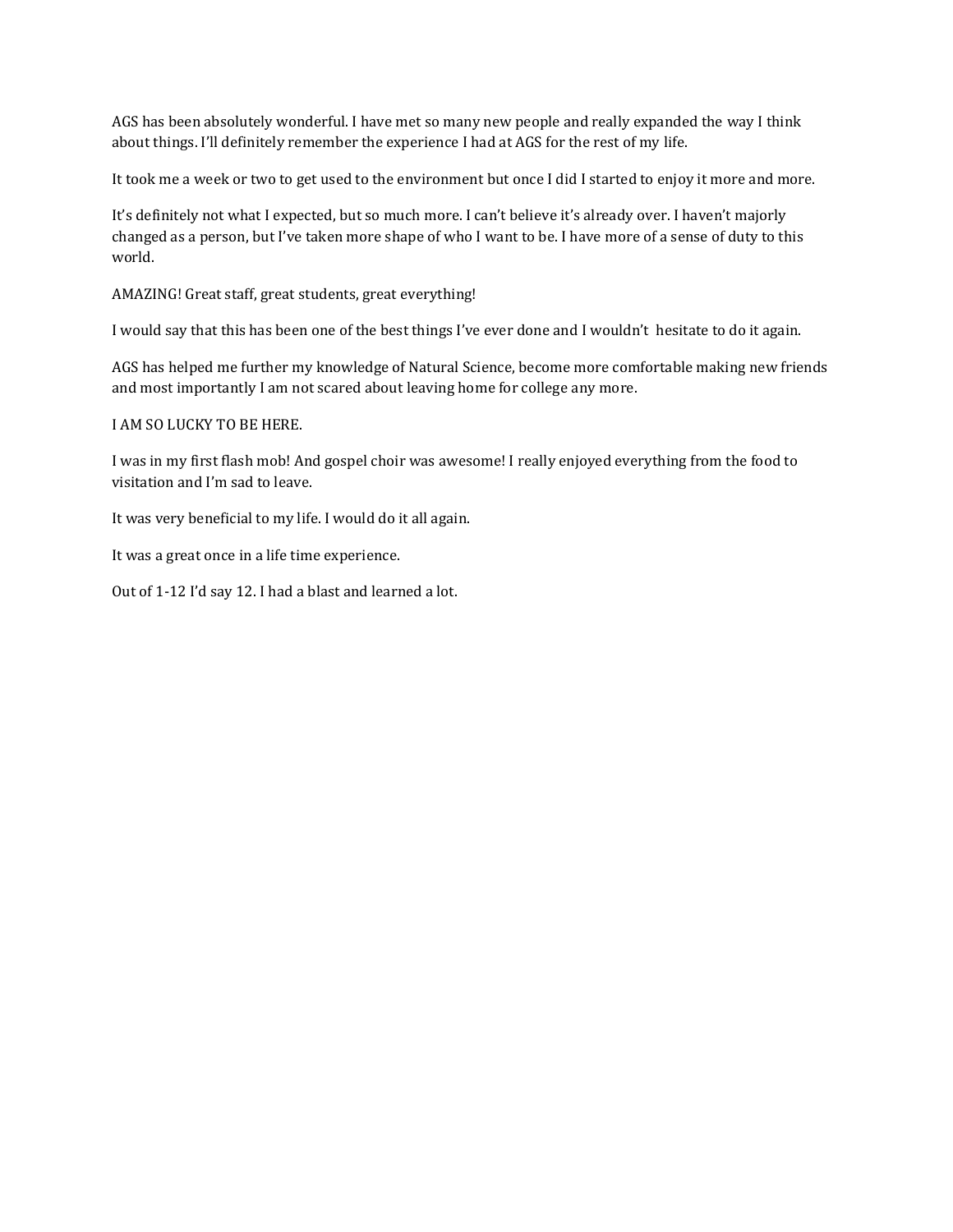AGS has been absolutely wonderful. I have met so many new people and really expanded the way I think about things. I'll definitely remember the experience I had at AGS for the rest of my life.

It took me a week or two to get used to the environment but once I did I started to enjoy it more and more.

It's definitely not what I expected, but so much more. I can't believe it's already over. I haven't majorly changed as a person, but I've taken more shape of who I want to be. I have more of a sense of duty to this world.

AMAZING! Great staff, great students, great everything!

I would say that this has been one of the best things I've ever done and I wouldn't hesitate to do it again.

AGS has helped me further my knowledge of Natural Science, become more comfortable making new friends and most importantly I am not scared about leaving home for college any more.

I AM SO LUCKY TO BE HERE.

I was in my first flash mob! And gospel choir was awesome! I really enjoyed everything from the food to visitation and I'm sad to leave.

It was very beneficial to my life. I would do it all again.

It was a great once in a life time experience.

Out of 1-12 I'd say 12. I had a blast and learned a lot.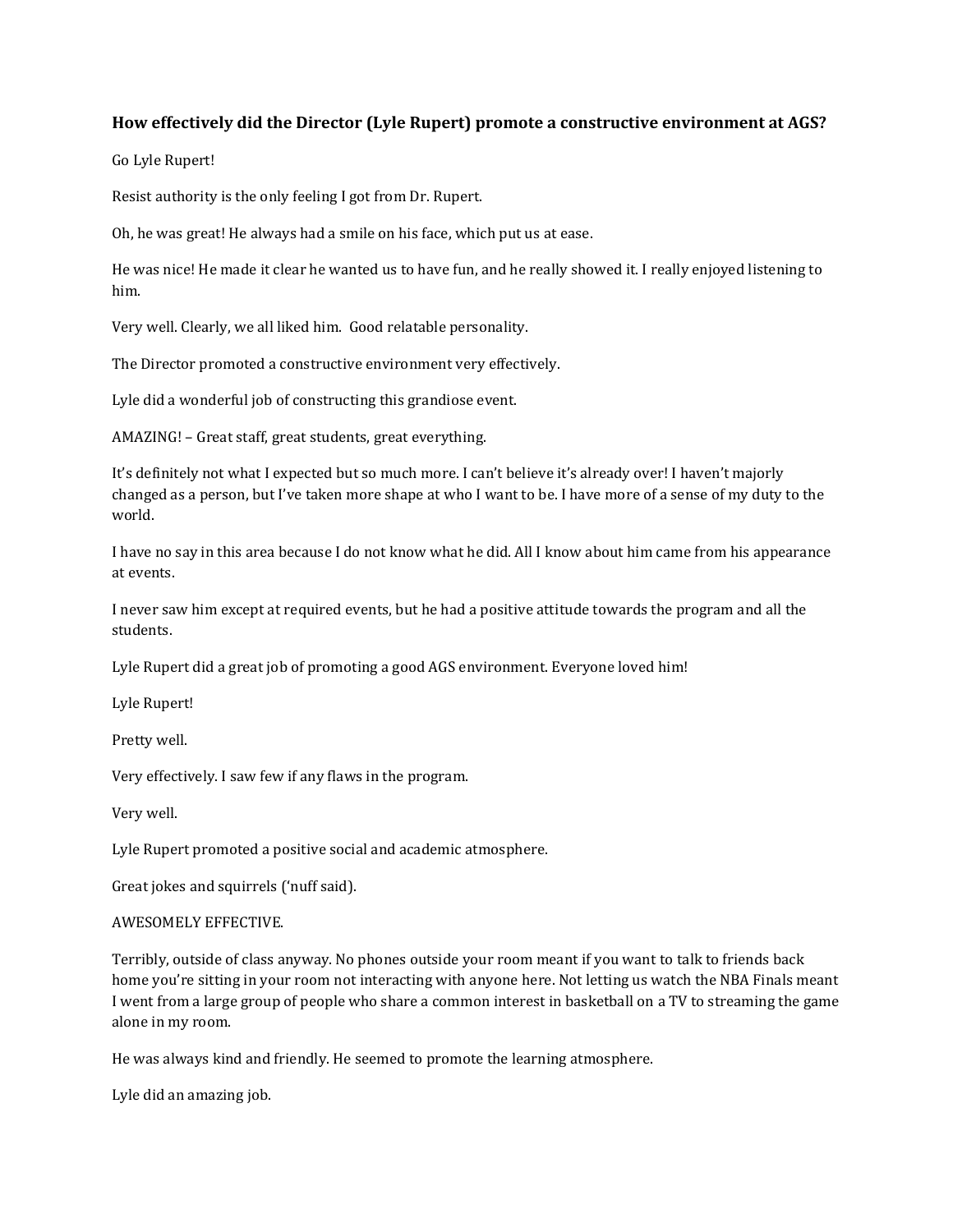# **How effectively did the Director (Lyle Rupert) promote a constructive environment at AGS?**

Go Lyle Rupert!

Resist authority is the only feeling I got from Dr. Rupert.

Oh, he was great! He always had a smile on his face, which put us at ease.

He was nice! He made it clear he wanted us to have fun, and he really showed it. I really enjoyed listening to him.

Very well. Clearly, we all liked him. Good relatable personality.

The Director promoted a constructive environment very effectively.

Lyle did a wonderful job of constructing this grandiose event.

AMAZING! – Great staff, great students, great everything.

It's definitely not what I expected but so much more. I can't believe it's already over! I haven't majorly changed as a person, but I've taken more shape at who I want to be. I have more of a sense of my duty to the world.

I have no say in this area because I do not know what he did. All I know about him came from his appearance at events.

I never saw him except at required events, but he had a positive attitude towards the program and all the students.

Lyle Rupert did a great job of promoting a good AGS environment. Everyone loved him!

Lyle Rupert!

Pretty well.

Very effectively. I saw few if any flaws in the program.

Very well.

Lyle Rupert promoted a positive social and academic atmosphere.

Great jokes and squirrels ('nuff said).

## AWESOMELY EFFECTIVE.

Terribly, outside of class anyway. No phones outside your room meant if you want to talk to friends back home you're sitting in your room not interacting with anyone here. Not letting us watch the NBA Finals meant I went from a large group of people who share a common interest in basketball on a TV to streaming the game alone in my room.

He was always kind and friendly. He seemed to promote the learning atmosphere.

Lyle did an amazing job.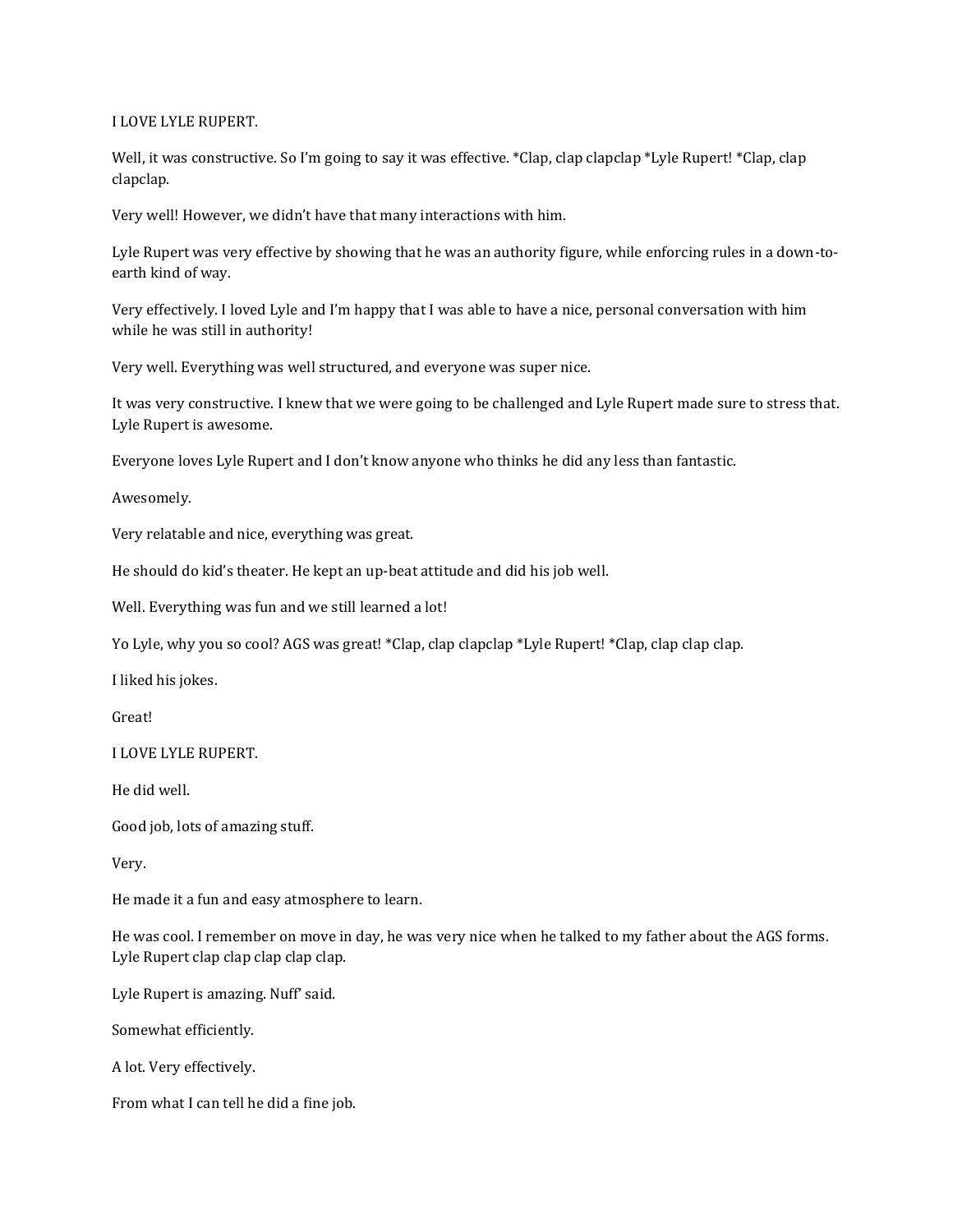## I LOVE LYLE RUPERT.

Well, it was constructive. So I'm going to say it was effective. \*Clap, clap clapclap \*Lyle Rupert! \*Clap, clap clapclap.

Very well! However, we didn't have that many interactions with him.

Lyle Rupert was very effective by showing that he was an authority figure, while enforcing rules in a down-toearth kind of way.

Very effectively. I loved Lyle and I'm happy that I was able to have a nice, personal conversation with him while he was still in authority!

Very well. Everything was well structured, and everyone was super nice.

It was very constructive. I knew that we were going to be challenged and Lyle Rupert made sure to stress that. Lyle Rupert is awesome.

Everyone loves Lyle Rupert and I don't know anyone who thinks he did any less than fantastic.

Awesomely.

Very relatable and nice, everything was great.

He should do kid's theater. He kept an up-beat attitude and did his job well.

Well. Everything was fun and we still learned a lot!

Yo Lyle, why you so cool? AGS was great! \*Clap, clap clapclap \*Lyle Rupert! \*Clap, clap clap clap.

I liked his jokes.

Great!

I LOVE LYLE RUPERT.

He did well.

Good job, lots of amazing stuff.

Very.

He made it a fun and easy atmosphere to learn.

He was cool. I remember on move in day, he was very nice when he talked to my father about the AGS forms. Lyle Rupert clap clap clap clap clap.

Lyle Rupert is amazing. Nuff' said.

Somewhat efficiently.

A lot. Very effectively.

From what I can tell he did a fine job.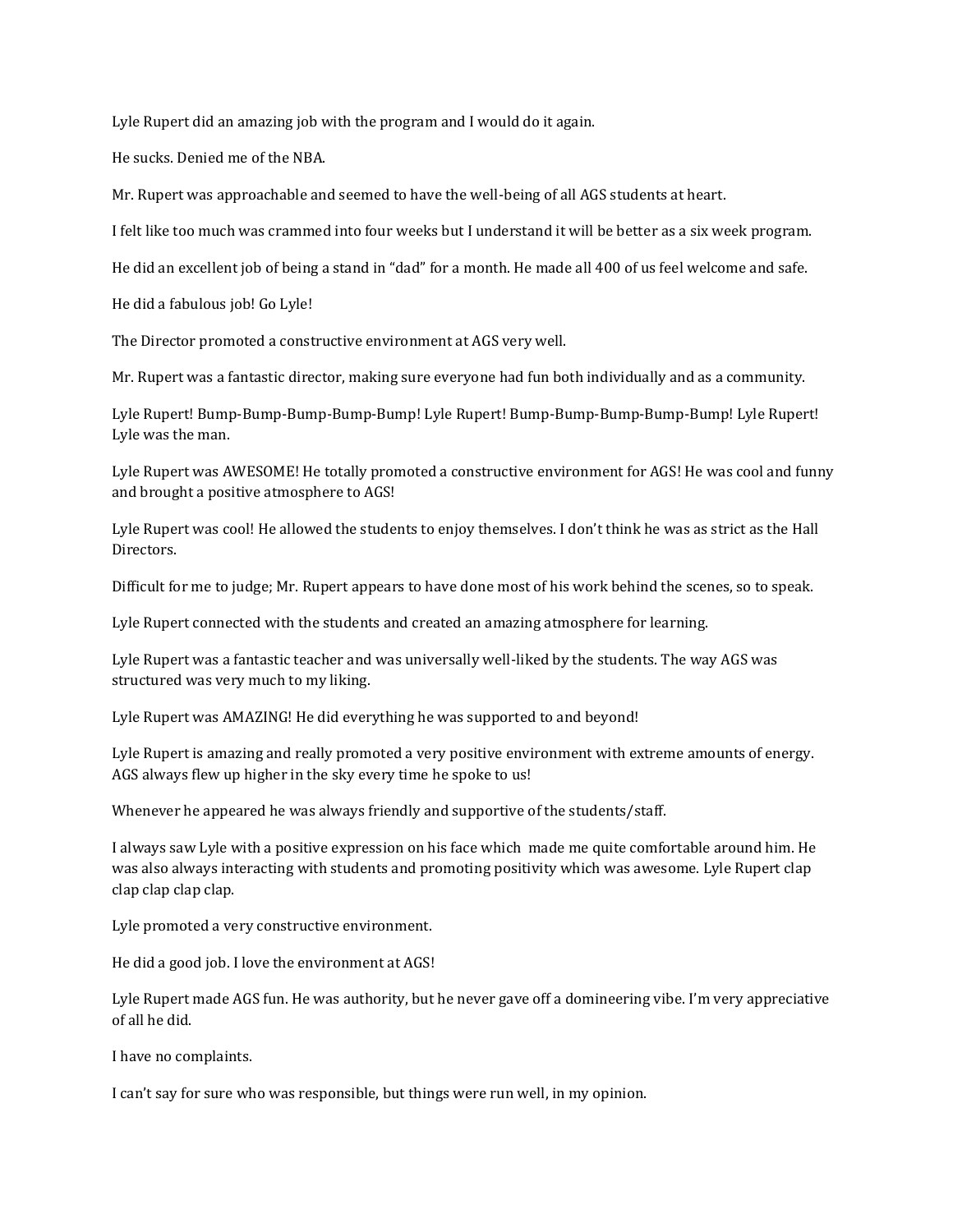Lyle Rupert did an amazing job with the program and I would do it again.

He sucks. Denied me of the NBA.

Mr. Rupert was approachable and seemed to have the well-being of all AGS students at heart.

I felt like too much was crammed into four weeks but I understand it will be better as a six week program.

He did an excellent job of being a stand in "dad" for a month. He made all 400 of us feel welcome and safe.

He did a fabulous job! Go Lyle!

The Director promoted a constructive environment at AGS very well.

Mr. Rupert was a fantastic director, making sure everyone had fun both individually and as a community.

Lyle Rupert! Bump-Bump-Bump-Bump-Bump! Lyle Rupert! Bump-Bump-Bump-Bump-Bump! Lyle Rupert! Lyle was the man.

Lyle Rupert was AWESOME! He totally promoted a constructive environment for AGS! He was cool and funny and brought a positive atmosphere to AGS!

Lyle Rupert was cool! He allowed the students to enjoy themselves. I don't think he was as strict as the Hall Directors.

Difficult for me to judge; Mr. Rupert appears to have done most of his work behind the scenes, so to speak.

Lyle Rupert connected with the students and created an amazing atmosphere for learning.

Lyle Rupert was a fantastic teacher and was universally well-liked by the students. The way AGS was structured was very much to my liking.

Lyle Rupert was AMAZING! He did everything he was supported to and beyond!

Lyle Rupert is amazing and really promoted a very positive environment with extreme amounts of energy. AGS always flew up higher in the sky every time he spoke to us!

Whenever he appeared he was always friendly and supportive of the students/staff.

I always saw Lyle with a positive expression on his face which made me quite comfortable around him. He was also always interacting with students and promoting positivity which was awesome. Lyle Rupert clap clap clap clap clap.

Lyle promoted a very constructive environment.

He did a good job. I love the environment at AGS!

Lyle Rupert made AGS fun. He was authority, but he never gave off a domineering vibe. I'm very appreciative of all he did.

I have no complaints.

I can't say for sure who was responsible, but things were run well, in my opinion.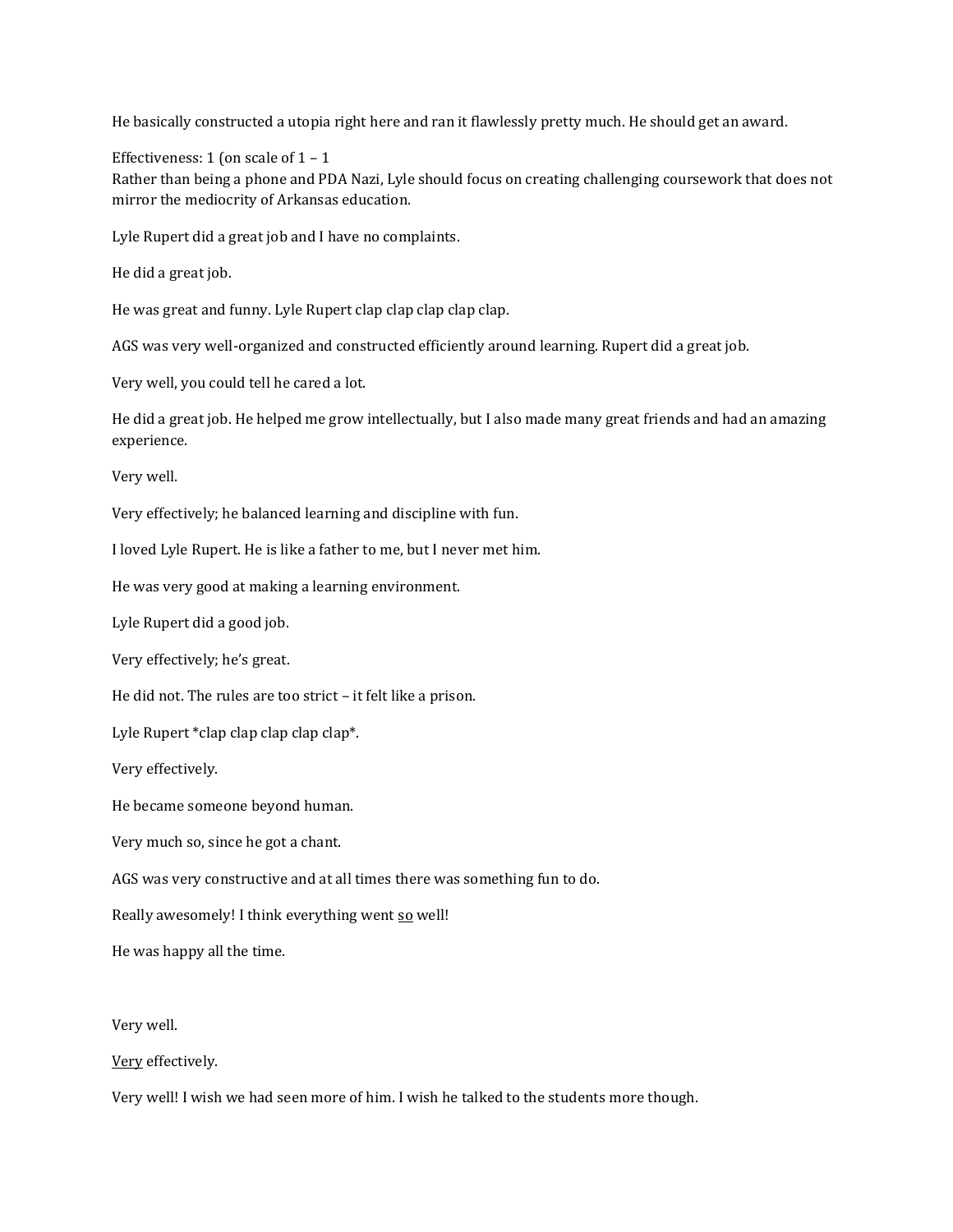He basically constructed a utopia right here and ran it flawlessly pretty much. He should get an award.

Effectiveness: 1 (on scale of  $1 - 1$ 

Rather than being a phone and PDA Nazi, Lyle should focus on creating challenging coursework that does not mirror the mediocrity of Arkansas education.

Lyle Rupert did a great job and I have no complaints.

He did a great job.

He was great and funny. Lyle Rupert clap clap clap clap clap.

AGS was very well-organized and constructed efficiently around learning. Rupert did a great job.

Very well, you could tell he cared a lot.

He did a great job. He helped me grow intellectually, but I also made many great friends and had an amazing experience.

Very well.

Very effectively; he balanced learning and discipline with fun.

I loved Lyle Rupert. He is like a father to me, but I never met him.

He was very good at making a learning environment.

Lyle Rupert did a good job.

Very effectively; he's great.

He did not. The rules are too strict – it felt like a prison.

Lyle Rupert \*clap clap clap clap clap\*.

Very effectively.

He became someone beyond human.

Very much so, since he got a chant.

AGS was very constructive and at all times there was something fun to do.

Really awesomely! I think everything went so well!

He was happy all the time.

Very well.

Very effectively.

Very well! I wish we had seen more of him. I wish he talked to the students more though.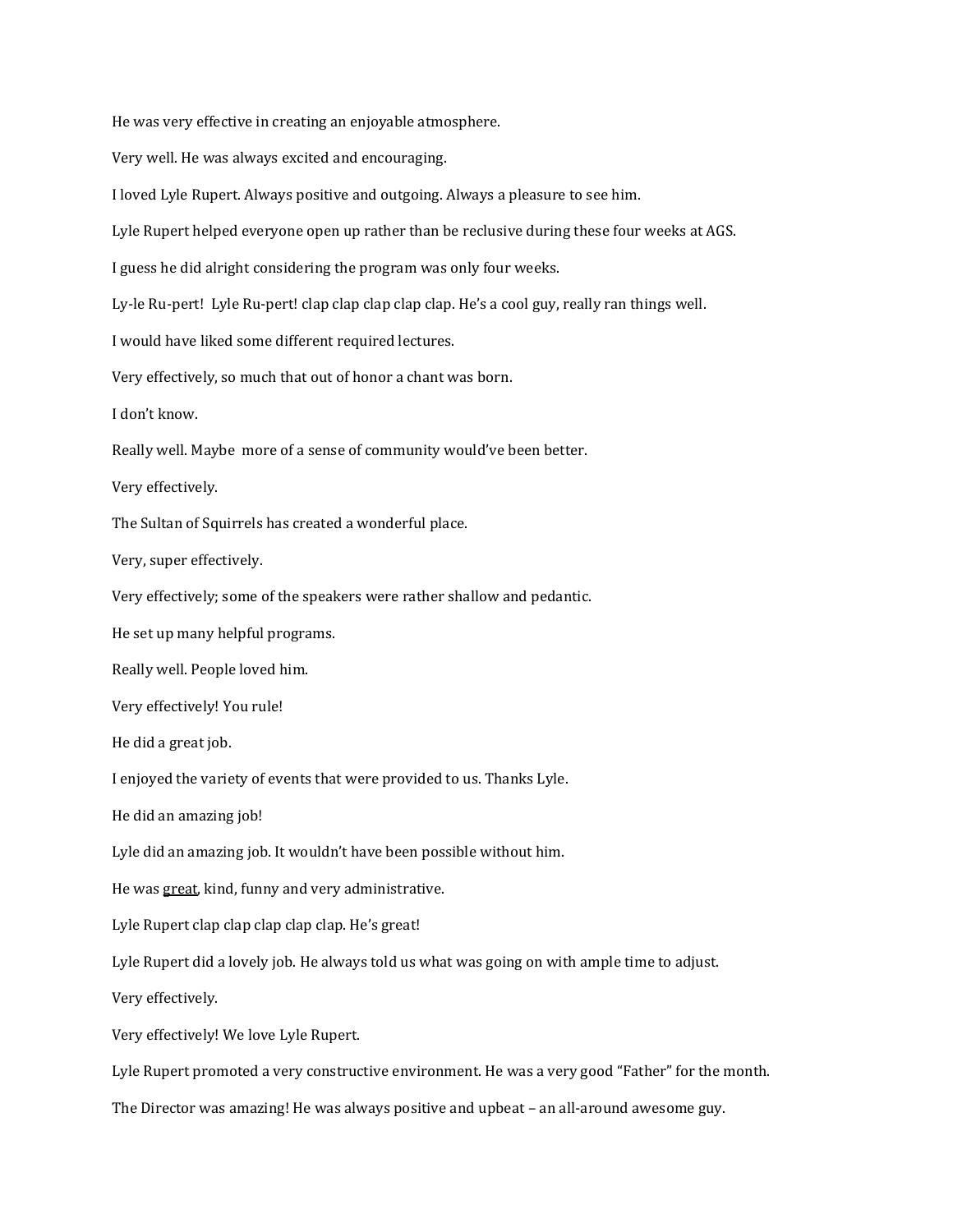He was very effective in creating an enjoyable atmosphere. Very well. He was always excited and encouraging. I loved Lyle Rupert. Always positive and outgoing. Always a pleasure to see him. Lyle Rupert helped everyone open up rather than be reclusive during these four weeks at AGS. I guess he did alright considering the program was only four weeks. Ly-le Ru-pert! Lyle Ru-pert! clap clap clap clap clap. He's a cool guy, really ran things well. I would have liked some different required lectures. Very effectively, so much that out of honor a chant was born. I don't know. Really well. Maybe more of a sense of community would've been better. Very effectively. The Sultan of Squirrels has created a wonderful place. Very, super effectively. Very effectively; some of the speakers were rather shallow and pedantic. He set up many helpful programs. Really well. People loved him. Very effectively! You rule! He did a great job. I enjoyed the variety of events that were provided to us. Thanks Lyle. He did an amazing job! Lyle did an amazing job. It wouldn't have been possible without him. He was great, kind, funny and very administrative. Lyle Rupert clap clap clap clap clap. He's great! Lyle Rupert did a lovely job. He always told us what was going on with ample time to adjust. Very effectively. Very effectively! We love Lyle Rupert. Lyle Rupert promoted a very constructive environment. He was a very good "Father" for the month. The Director was amazing! He was always positive and upbeat – an all-around awesome guy.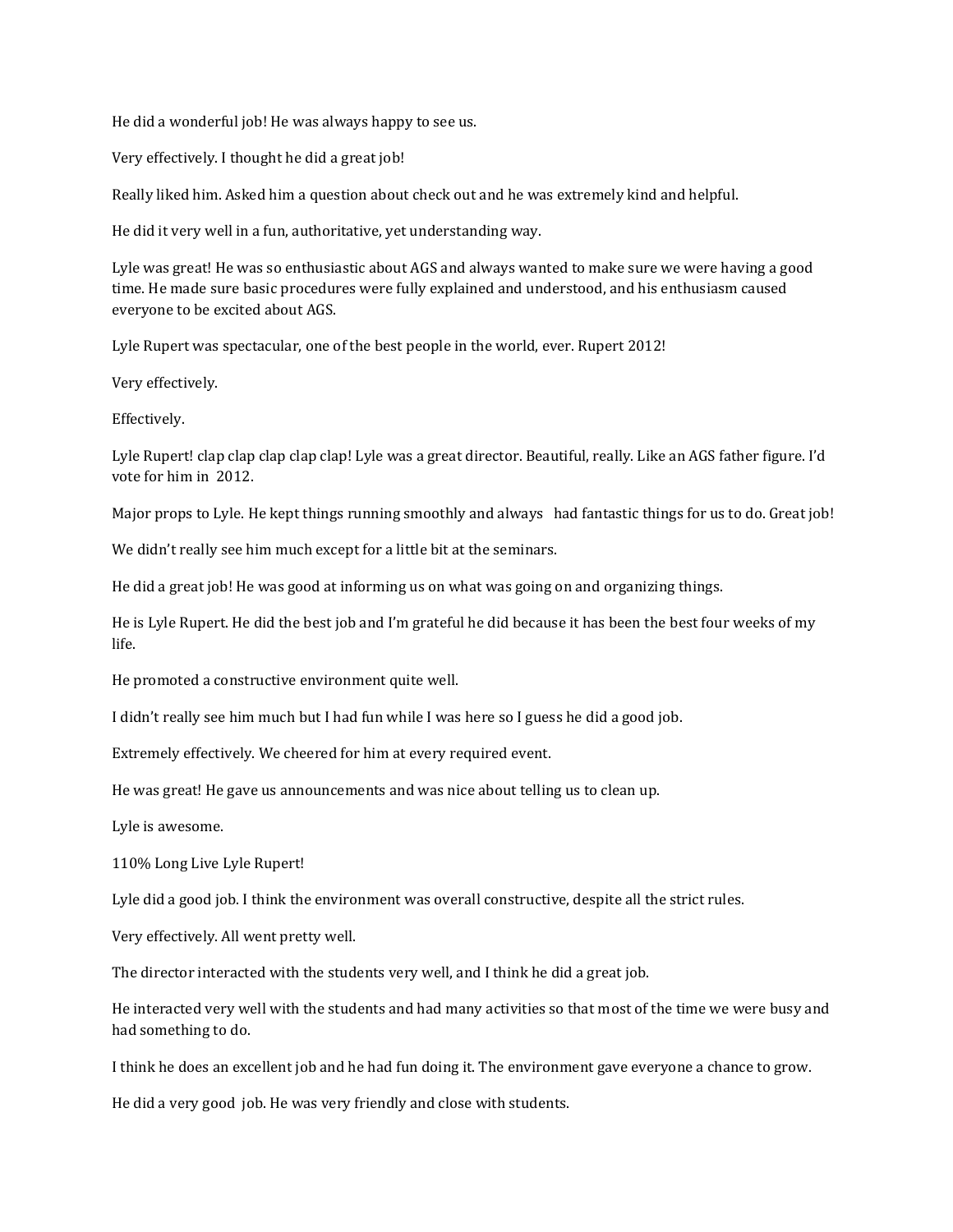He did a wonderful job! He was always happy to see us.

Very effectively. I thought he did a great job!

Really liked him. Asked him a question about check out and he was extremely kind and helpful.

He did it very well in a fun, authoritative, yet understanding way.

Lyle was great! He was so enthusiastic about AGS and always wanted to make sure we were having a good time. He made sure basic procedures were fully explained and understood, and his enthusiasm caused everyone to be excited about AGS.

Lyle Rupert was spectacular, one of the best people in the world, ever. Rupert 2012!

Very effectively.

Effectively.

Lyle Rupert! clap clap clap clap clap! Lyle was a great director. Beautiful, really. Like an AGS father figure. I'd vote for him in 2012.

Major props to Lyle. He kept things running smoothly and always had fantastic things for us to do. Great job!

We didn't really see him much except for a little bit at the seminars.

He did a great job! He was good at informing us on what was going on and organizing things.

He is Lyle Rupert. He did the best job and I'm grateful he did because it has been the best four weeks of my life.

He promoted a constructive environment quite well.

I didn't really see him much but I had fun while I was here so I guess he did a good job.

Extremely effectively. We cheered for him at every required event.

He was great! He gave us announcements and was nice about telling us to clean up.

Lyle is awesome.

110% Long Live Lyle Rupert!

Lyle did a good job. I think the environment was overall constructive, despite all the strict rules.

Very effectively. All went pretty well.

The director interacted with the students very well, and I think he did a great job.

He interacted very well with the students and had many activities so that most of the time we were busy and had something to do.

I think he does an excellent job and he had fun doing it. The environment gave everyone a chance to grow.

He did a very good job. He was very friendly and close with students.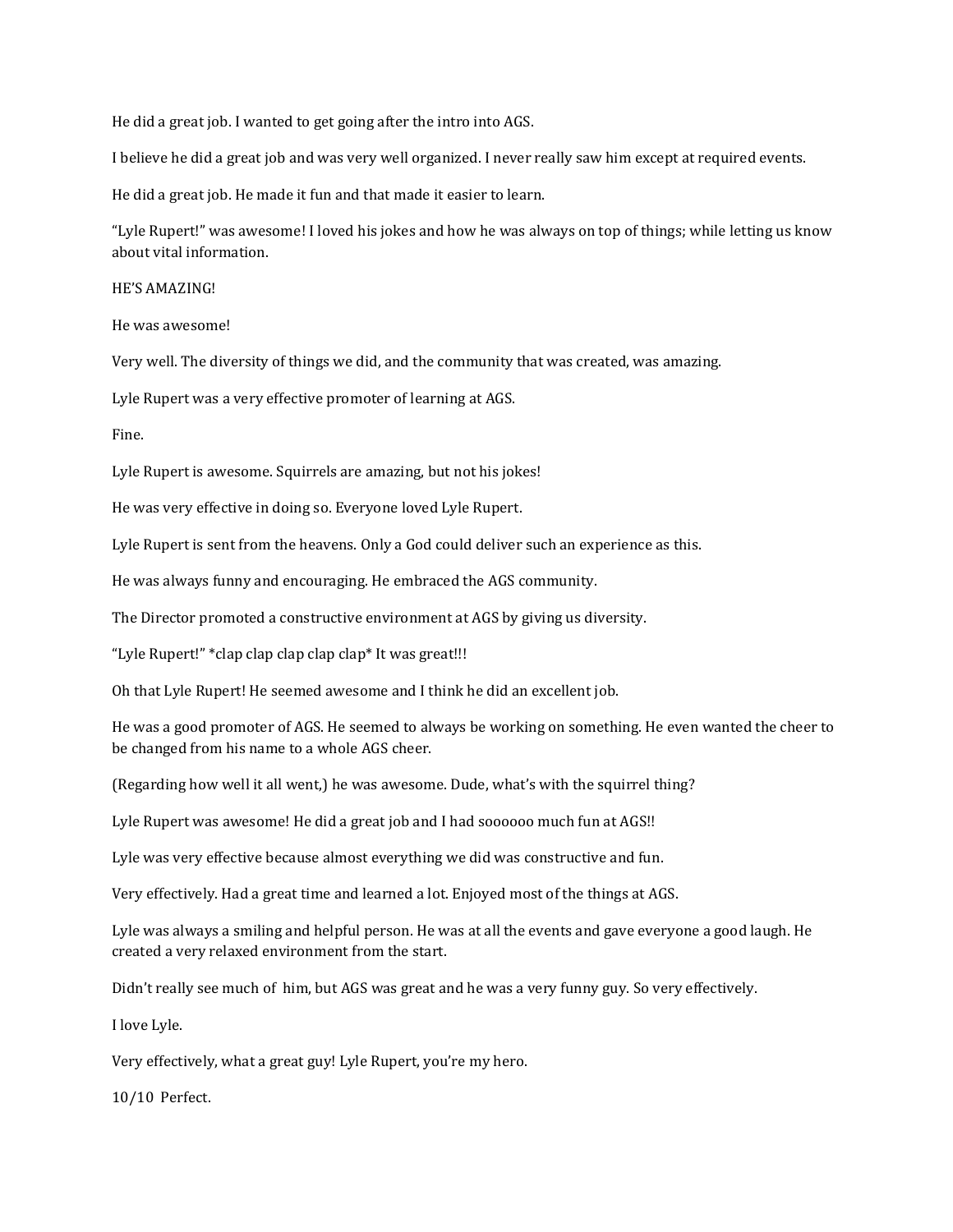He did a great job. I wanted to get going after the intro into AGS.

I believe he did a great job and was very well organized. I never really saw him except at required events.

He did a great job. He made it fun and that made it easier to learn.

"Lyle Rupert!" was awesome! I loved his jokes and how he was always on top of things; while letting us know about vital information.

#### HE'S AMAZING!

He was awesome!

Very well. The diversity of things we did, and the community that was created, was amazing.

Lyle Rupert was a very effective promoter of learning at AGS.

Fine.

Lyle Rupert is awesome. Squirrels are amazing, but not his jokes!

He was very effective in doing so. Everyone loved Lyle Rupert.

Lyle Rupert is sent from the heavens. Only a God could deliver such an experience as this.

He was always funny and encouraging. He embraced the AGS community.

The Director promoted a constructive environment at AGS by giving us diversity.

"Lyle Rupert!" \*clap clap clap clap clap\* It was great!!!

Oh that Lyle Rupert! He seemed awesome and I think he did an excellent job.

He was a good promoter of AGS. He seemed to always be working on something. He even wanted the cheer to be changed from his name to a whole AGS cheer.

(Regarding how well it all went,) he was awesome. Dude, what's with the squirrel thing?

Lyle Rupert was awesome! He did a great job and I had soooooo much fun at AGS!!

Lyle was very effective because almost everything we did was constructive and fun.

Very effectively. Had a great time and learned a lot. Enjoyed most of the things at AGS.

Lyle was always a smiling and helpful person. He was at all the events and gave everyone a good laugh. He created a very relaxed environment from the start.

Didn't really see much of him, but AGS was great and he was a very funny guy. So very effectively.

I love Lyle.

Very effectively, what a great guy! Lyle Rupert, you're my hero.

10/10 Perfect.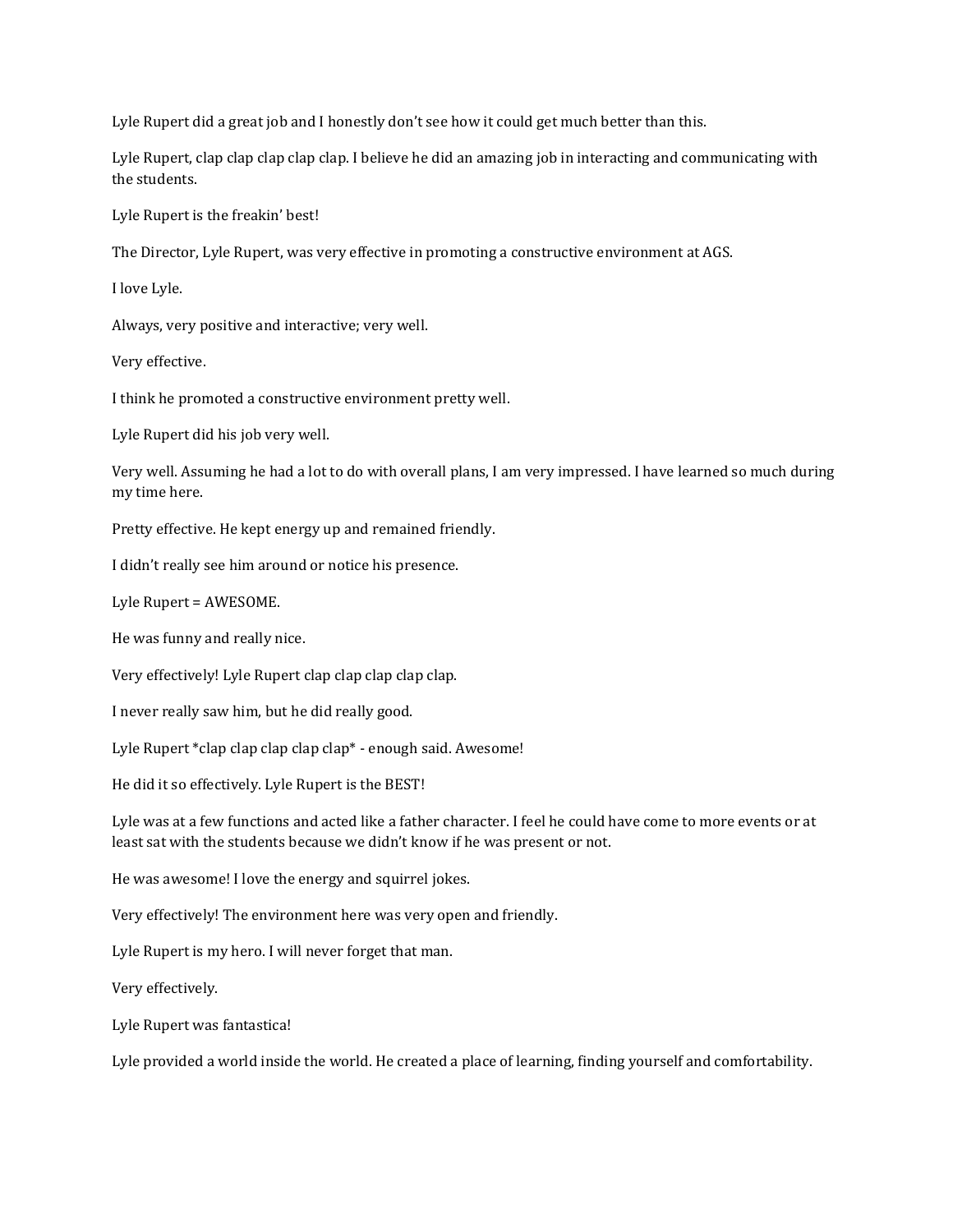Lyle Rupert did a great job and I honestly don't see how it could get much better than this.

Lyle Rupert, clap clap clap clap clap. I believe he did an amazing job in interacting and communicating with the students.

Lyle Rupert is the freakin' best!

The Director, Lyle Rupert, was very effective in promoting a constructive environment at AGS.

I love Lyle.

Always, very positive and interactive; very well.

Very effective.

I think he promoted a constructive environment pretty well.

Lyle Rupert did his job very well.

Very well. Assuming he had a lot to do with overall plans, I am very impressed. I have learned so much during my time here.

Pretty effective. He kept energy up and remained friendly.

I didn't really see him around or notice his presence.

Lyle Rupert = AWESOME.

He was funny and really nice.

Very effectively! Lyle Rupert clap clap clap clap clap.

I never really saw him, but he did really good.

Lyle Rupert \*clap clap clap clap clap\* - enough said. Awesome!

He did it so effectively. Lyle Rupert is the BEST!

Lyle was at a few functions and acted like a father character. I feel he could have come to more events or at least sat with the students because we didn't know if he was present or not.

He was awesome! I love the energy and squirrel jokes.

Very effectively! The environment here was very open and friendly.

Lyle Rupert is my hero. I will never forget that man.

Very effectively.

Lyle Rupert was fantastica!

Lyle provided a world inside the world. He created a place of learning, finding yourself and comfortability.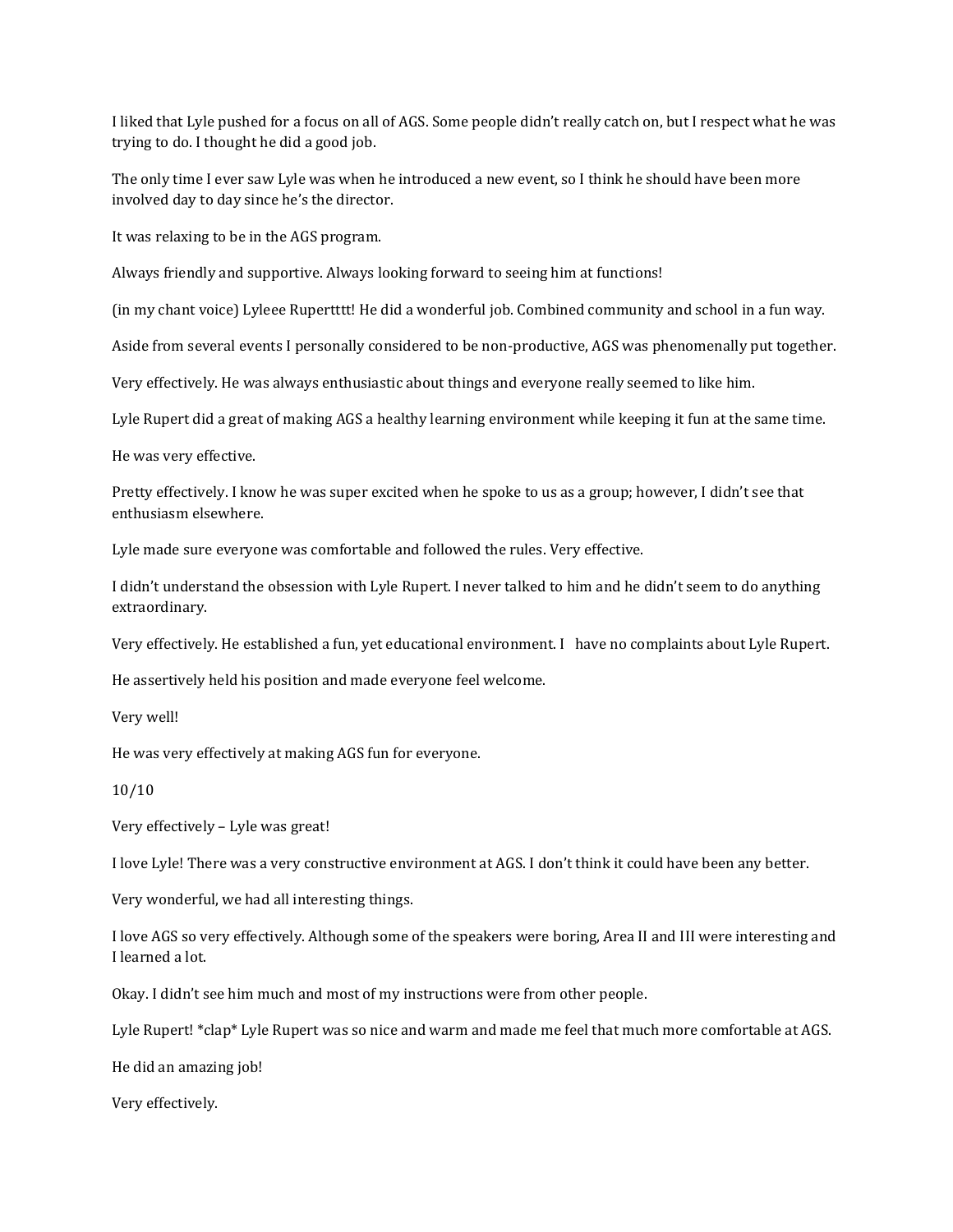I liked that Lyle pushed for a focus on all of AGS. Some people didn't really catch on, but I respect what he was trying to do. I thought he did a good job.

The only time I ever saw Lyle was when he introduced a new event, so I think he should have been more involved day to day since he's the director.

It was relaxing to be in the AGS program.

Always friendly and supportive. Always looking forward to seeing him at functions!

(in my chant voice) Lyleee Rupertttt! He did a wonderful job. Combined community and school in a fun way.

Aside from several events I personally considered to be non-productive, AGS was phenomenally put together.

Very effectively. He was always enthusiastic about things and everyone really seemed to like him.

Lyle Rupert did a great of making AGS a healthy learning environment while keeping it fun at the same time.

He was very effective.

Pretty effectively. I know he was super excited when he spoke to us as a group; however, I didn't see that enthusiasm elsewhere.

Lyle made sure everyone was comfortable and followed the rules. Very effective.

I didn't understand the obsession with Lyle Rupert. I never talked to him and he didn't seem to do anything extraordinary.

Very effectively. He established a fun, yet educational environment. I have no complaints about Lyle Rupert.

He assertively held his position and made everyone feel welcome.

Very well!

He was very effectively at making AGS fun for everyone.

10/10

Very effectively – Lyle was great!

I love Lyle! There was a very constructive environment at AGS. I don't think it could have been any better.

Very wonderful, we had all interesting things.

I love AGS so very effectively. Although some of the speakers were boring, Area II and III were interesting and I learned a lot.

Okay. I didn't see him much and most of my instructions were from other people.

Lyle Rupert! \*clap\* Lyle Rupert was so nice and warm and made me feel that much more comfortable at AGS.

He did an amazing job!

Very effectively.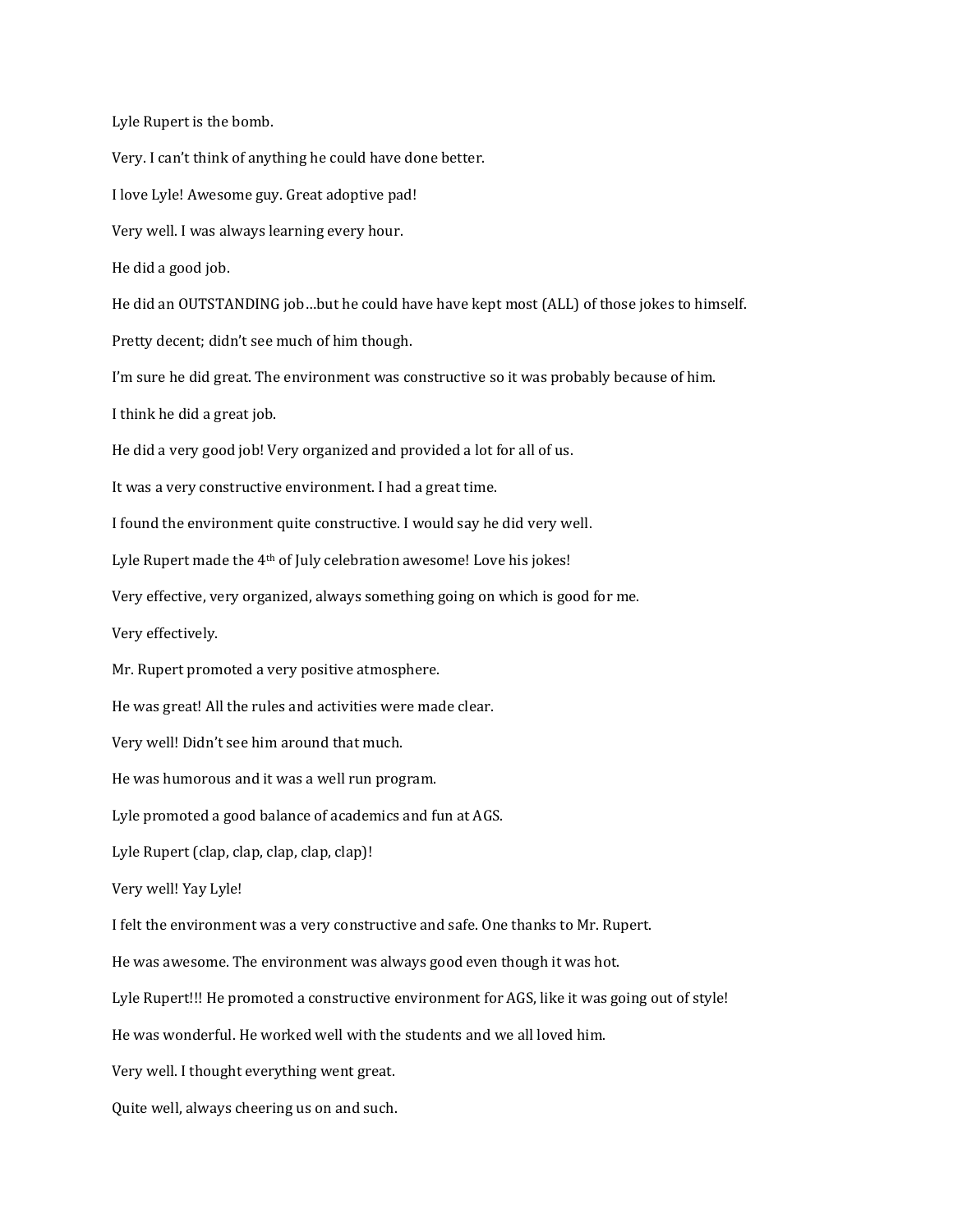Lyle Rupert is the bomb.

Very. I can't think of anything he could have done better. I love Lyle! Awesome guy. Great adoptive pad! Very well. I was always learning every hour. He did a good job. He did an OUTSTANDING job…but he could have have kept most (ALL) of those jokes to himself. Pretty decent; didn't see much of him though. I'm sure he did great. The environment was constructive so it was probably because of him. I think he did a great job. He did a very good job! Very organized and provided a lot for all of us. It was a very constructive environment. I had a great time. I found the environment quite constructive. I would say he did very well. Lyle Rupert made the 4<sup>th</sup> of July celebration awesome! Love his jokes! Very effective, very organized, always something going on which is good for me. Very effectively. Mr. Rupert promoted a very positive atmosphere. He was great! All the rules and activities were made clear. Very well! Didn't see him around that much. He was humorous and it was a well run program. Lyle promoted a good balance of academics and fun at AGS. Lyle Rupert (clap, clap, clap, clap, clap)! Very well! Yay Lyle! I felt the environment was a very constructive and safe. One thanks to Mr. Rupert. He was awesome. The environment was always good even though it was hot. Lyle Rupert!!! He promoted a constructive environment for AGS, like it was going out of style! He was wonderful. He worked well with the students and we all loved him. Very well. I thought everything went great. Quite well, always cheering us on and such.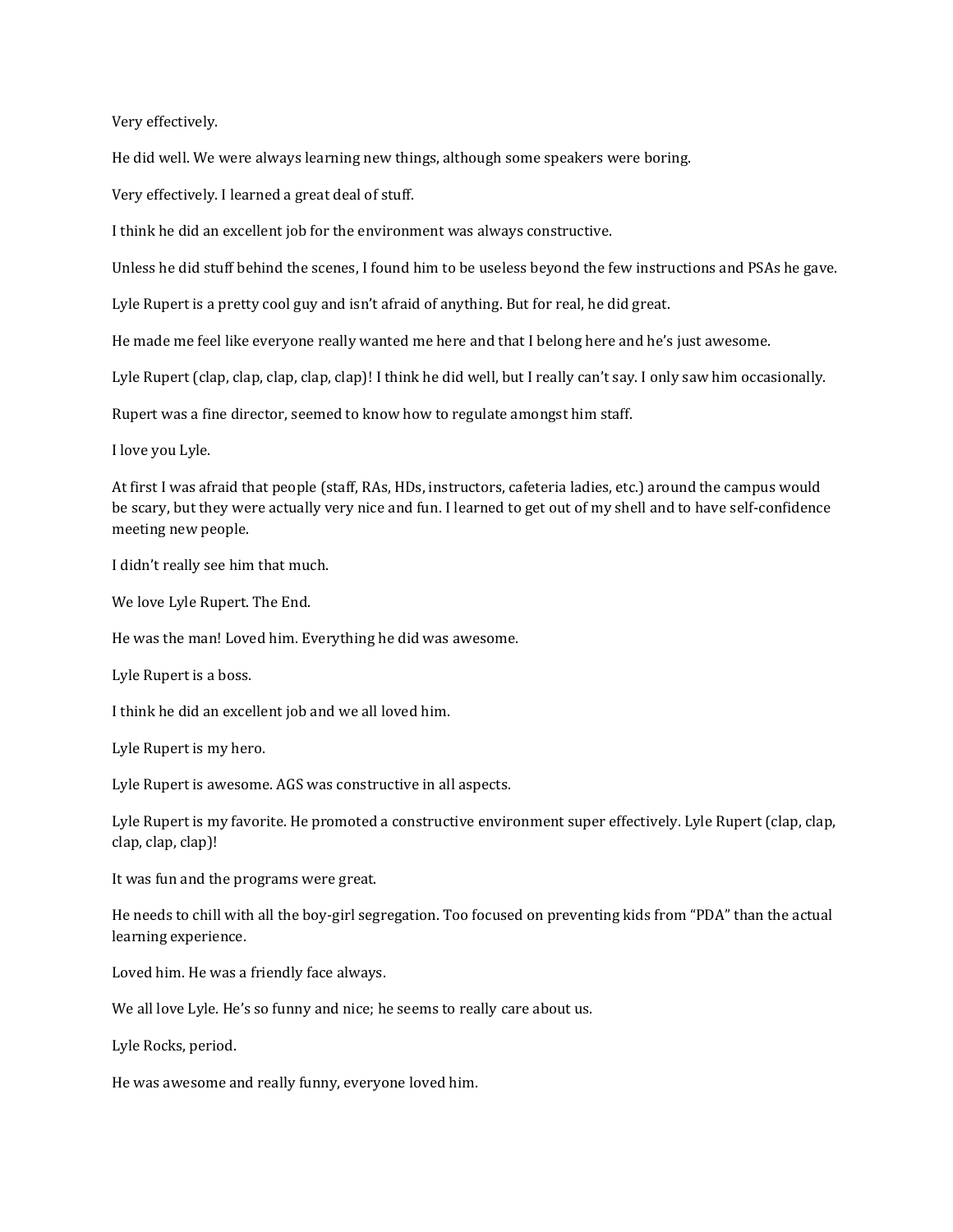Very effectively.

He did well. We were always learning new things, although some speakers were boring.

Very effectively. I learned a great deal of stuff.

I think he did an excellent job for the environment was always constructive.

Unless he did stuff behind the scenes, I found him to be useless beyond the few instructions and PSAs he gave.

Lyle Rupert is a pretty cool guy and isn't afraid of anything. But for real, he did great.

He made me feel like everyone really wanted me here and that I belong here and he's just awesome.

Lyle Rupert (clap, clap, clap, clap, clap)! I think he did well, but I really can't say. I only saw him occasionally.

Rupert was a fine director, seemed to know how to regulate amongst him staff.

I love you Lyle.

At first I was afraid that people (staff, RAs, HDs, instructors, cafeteria ladies, etc.) around the campus would be scary, but they were actually very nice and fun. I learned to get out of my shell and to have self-confidence meeting new people.

I didn't really see him that much.

We love Lyle Rupert. The End.

He was the man! Loved him. Everything he did was awesome.

Lyle Rupert is a boss.

I think he did an excellent job and we all loved him.

Lyle Rupert is my hero.

Lyle Rupert is awesome. AGS was constructive in all aspects.

Lyle Rupert is my favorite. He promoted a constructive environment super effectively. Lyle Rupert (clap, clap, clap, clap, clap)!

It was fun and the programs were great.

He needs to chill with all the boy-girl segregation. Too focused on preventing kids from "PDA" than the actual learning experience.

Loved him. He was a friendly face always.

We all love Lyle. He's so funny and nice; he seems to really care about us.

Lyle Rocks, period.

He was awesome and really funny, everyone loved him.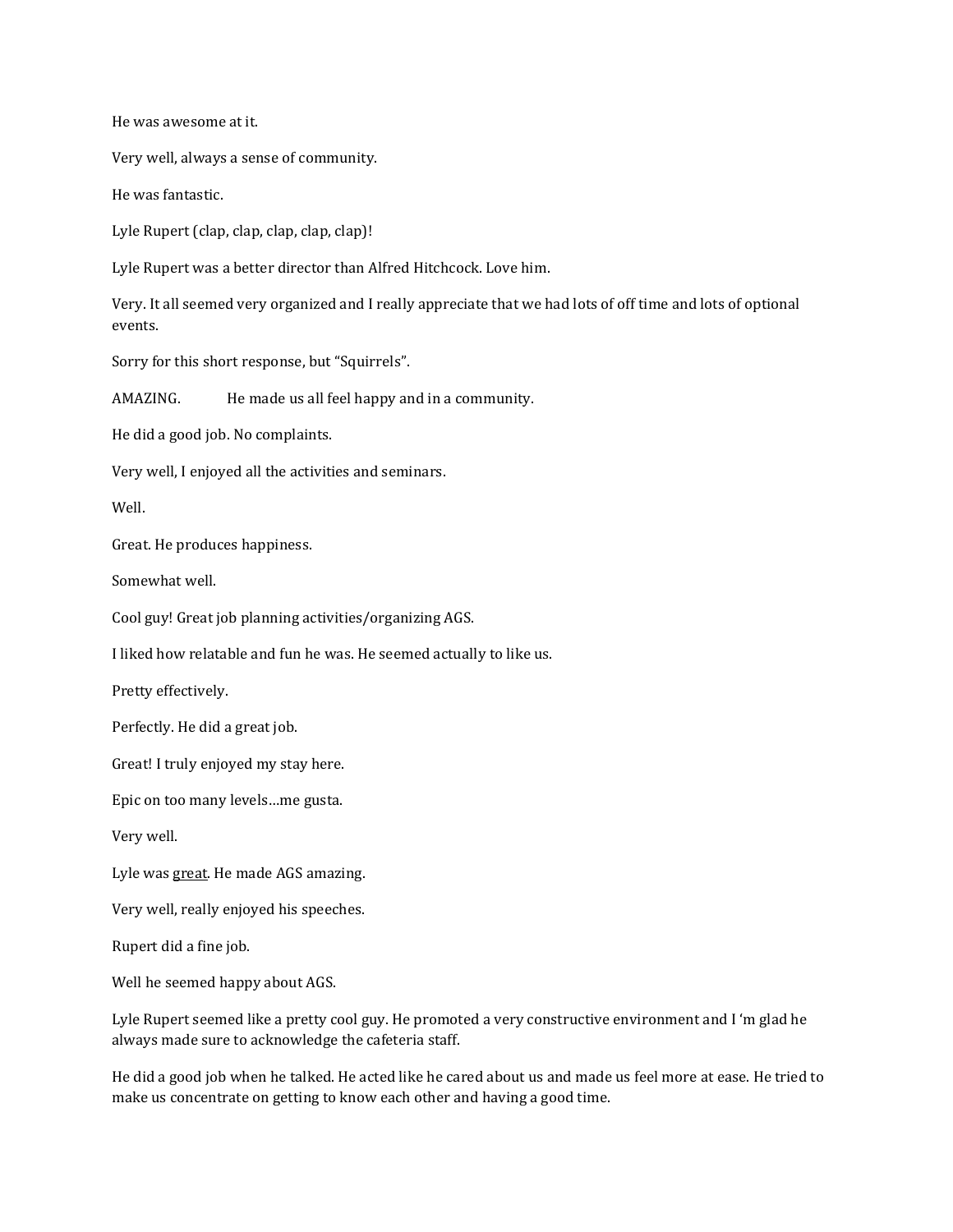He was awesome at it.

Very well, always a sense of community.

He was fantastic.

Lyle Rupert (clap, clap, clap, clap, clap)!

Lyle Rupert was a better director than Alfred Hitchcock. Love him.

Very. It all seemed very organized and I really appreciate that we had lots of off time and lots of optional events.

Sorry for this short response, but "Squirrels".

AMAZING. He made us all feel happy and in a community.

He did a good job. No complaints.

Very well, I enjoyed all the activities and seminars.

Well.

Great. He produces happiness.

Somewhat well.

Cool guy! Great job planning activities/organizing AGS.

I liked how relatable and fun he was. He seemed actually to like us.

Pretty effectively.

Perfectly. He did a great job.

Great! I truly enjoyed my stay here.

Epic on too many levels…me gusta.

Very well.

Lyle was great. He made AGS amazing.

Very well, really enjoyed his speeches.

Rupert did a fine job.

Well he seemed happy about AGS.

Lyle Rupert seemed like a pretty cool guy. He promoted a very constructive environment and I 'm glad he always made sure to acknowledge the cafeteria staff.

He did a good job when he talked. He acted like he cared about us and made us feel more at ease. He tried to make us concentrate on getting to know each other and having a good time.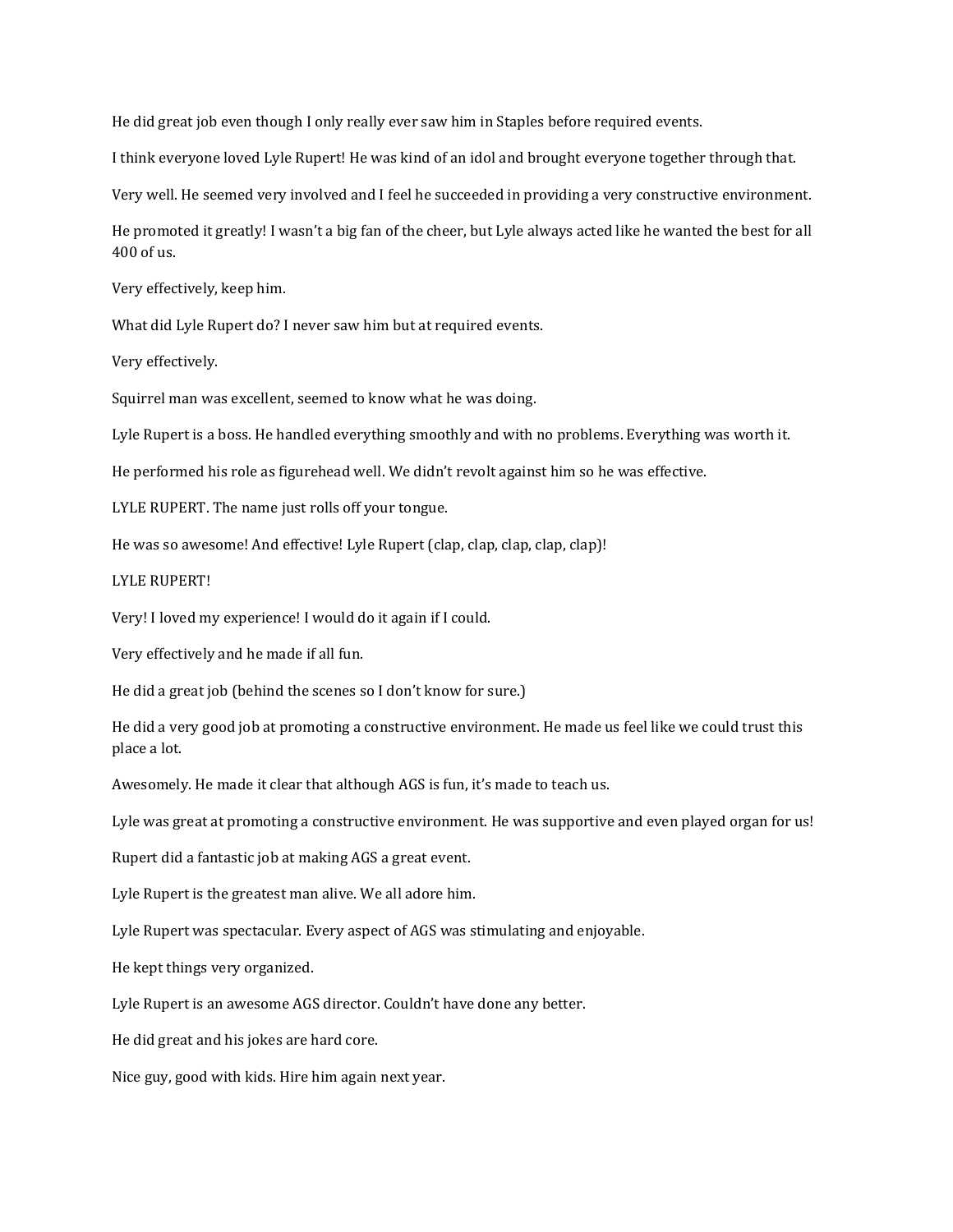He did great job even though I only really ever saw him in Staples before required events.

I think everyone loved Lyle Rupert! He was kind of an idol and brought everyone together through that.

Very well. He seemed very involved and I feel he succeeded in providing a very constructive environment.

He promoted it greatly! I wasn't a big fan of the cheer, but Lyle always acted like he wanted the best for all 400 of us.

Very effectively, keep him.

What did Lyle Rupert do? I never saw him but at required events.

Very effectively.

Squirrel man was excellent, seemed to know what he was doing.

Lyle Rupert is a boss. He handled everything smoothly and with no problems. Everything was worth it.

He performed his role as figurehead well. We didn't revolt against him so he was effective.

LYLE RUPERT. The name just rolls off your tongue.

He was so awesome! And effective! Lyle Rupert (clap, clap, clap, clap, clap)!

#### LYLE RUPERT!

Very! I loved my experience! I would do it again if I could.

Very effectively and he made if all fun.

He did a great job (behind the scenes so I don't know for sure.)

He did a very good job at promoting a constructive environment. He made us feel like we could trust this place a lot.

Awesomely. He made it clear that although AGS is fun, it's made to teach us.

Lyle was great at promoting a constructive environment. He was supportive and even played organ for us!

Rupert did a fantastic job at making AGS a great event.

Lyle Rupert is the greatest man alive. We all adore him.

Lyle Rupert was spectacular. Every aspect of AGS was stimulating and enjoyable.

He kept things very organized.

Lyle Rupert is an awesome AGS director. Couldn't have done any better.

He did great and his jokes are hard core.

Nice guy, good with kids. Hire him again next year.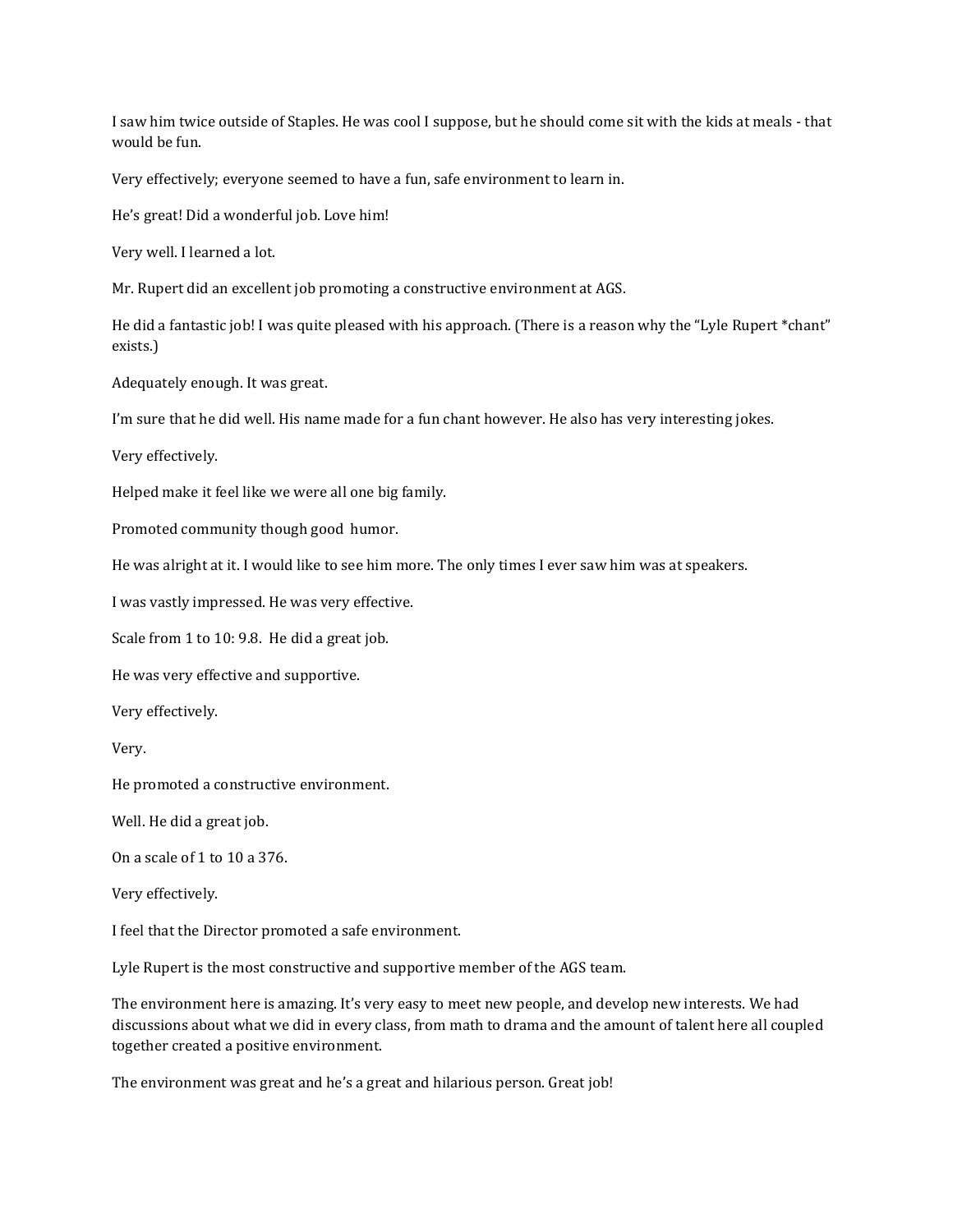I saw him twice outside of Staples. He was cool I suppose, but he should come sit with the kids at meals - that would be fun.

Very effectively; everyone seemed to have a fun, safe environment to learn in.

He's great! Did a wonderful job. Love him!

Very well. I learned a lot.

Mr. Rupert did an excellent job promoting a constructive environment at AGS.

He did a fantastic job! I was quite pleased with his approach. (There is a reason why the "Lyle Rupert \*chant" exists.)

Adequately enough. It was great.

I'm sure that he did well. His name made for a fun chant however. He also has very interesting jokes.

Very effectively.

Helped make it feel like we were all one big family.

Promoted community though good humor.

He was alright at it. I would like to see him more. The only times I ever saw him was at speakers.

I was vastly impressed. He was very effective.

Scale from 1 to 10: 9.8. He did a great job.

He was very effective and supportive.

Very effectively.

Very.

He promoted a constructive environment.

Well. He did a great job.

On a scale of 1 to 10 a 376.

Very effectively.

I feel that the Director promoted a safe environment.

Lyle Rupert is the most constructive and supportive member of the AGS team.

The environment here is amazing. It's very easy to meet new people, and develop new interests. We had discussions about what we did in every class, from math to drama and the amount of talent here all coupled together created a positive environment.

The environment was great and he's a great and hilarious person. Great job!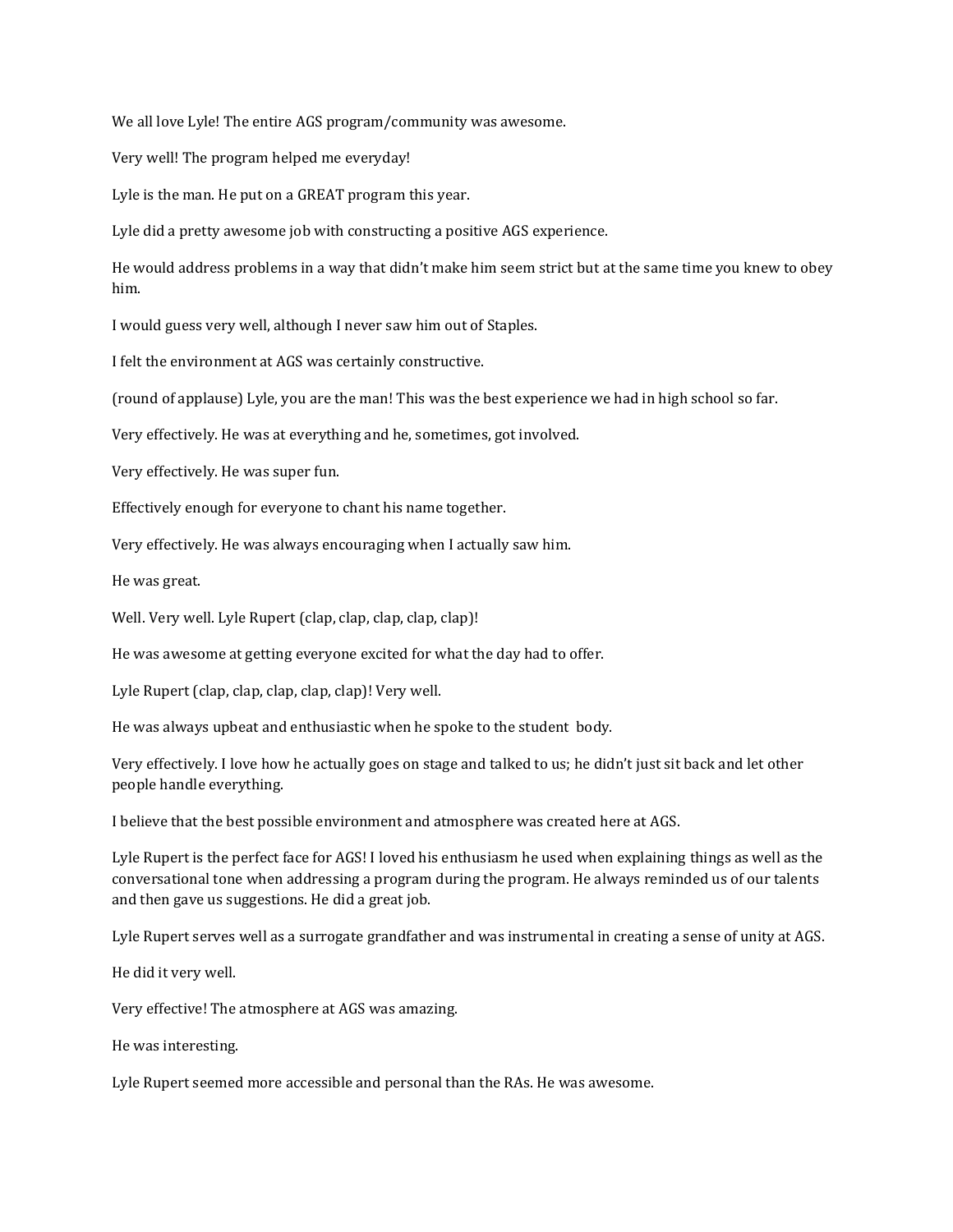We all love Lyle! The entire AGS program/community was awesome.

Very well! The program helped me everyday!

Lyle is the man. He put on a GREAT program this year.

Lyle did a pretty awesome job with constructing a positive AGS experience.

He would address problems in a way that didn't make him seem strict but at the same time you knew to obey him.

I would guess very well, although I never saw him out of Staples.

I felt the environment at AGS was certainly constructive.

(round of applause) Lyle, you are the man! This was the best experience we had in high school so far.

Very effectively. He was at everything and he, sometimes, got involved.

Very effectively. He was super fun.

Effectively enough for everyone to chant his name together.

Very effectively. He was always encouraging when I actually saw him.

He was great.

Well. Very well. Lyle Rupert (clap, clap, clap, clap, clap)!

He was awesome at getting everyone excited for what the day had to offer.

Lyle Rupert (clap, clap, clap, clap, clap)! Very well.

He was always upbeat and enthusiastic when he spoke to the student body.

Very effectively. I love how he actually goes on stage and talked to us; he didn't just sit back and let other people handle everything.

I believe that the best possible environment and atmosphere was created here at AGS.

Lyle Rupert is the perfect face for AGS! I loved his enthusiasm he used when explaining things as well as the conversational tone when addressing a program during the program. He always reminded us of our talents and then gave us suggestions. He did a great job.

Lyle Rupert serves well as a surrogate grandfather and was instrumental in creating a sense of unity at AGS.

He did it very well.

Very effective! The atmosphere at AGS was amazing.

He was interesting.

Lyle Rupert seemed more accessible and personal than the RAs. He was awesome.